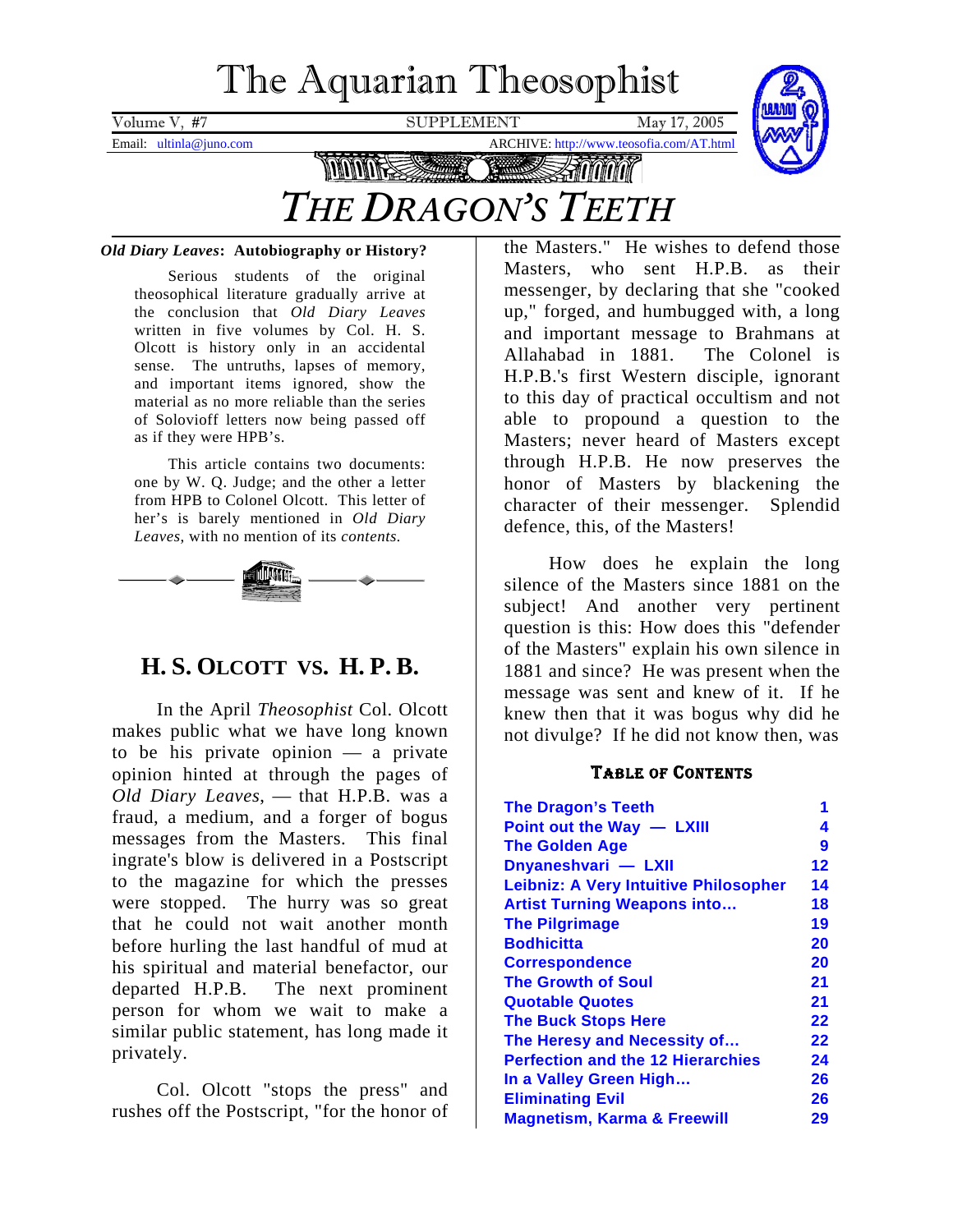# The Aquarian Theosophist

<span id="page-0-0"></span>Volume V, #7 SUPPLEMENT May 17, 2005

Email: ultinla@juno.com ARCHIVE: http://www.teosofia.com/AT.html



**Remained** aanin D **MAUNULES ZANDINI** *THE DRAGON'S TEETH*

#### *Old Diary Leaves***: Autobiography or History?**

Serious students of the original theosophical literature gradually arrive at the conclusion that *Old Diary Leaves* written in five volumes by Col. H. S. Olcott is history only in an accidental sense. The untruths, lapses of memory, and important items ignored, show the material as no more reliable than the series of Solovioff letters now being passed off as if they were HPB's.

This article contains two documents: one by W. Q. Judge; and the other a letter from HPB to Colonel Olcott. This letter of her's is barely mentioned in *Old Diary Leaves*, with no mention of its *contents.* 



## **H. S. OLCOTT VS. H. P. B.**

In the April *Theosophist* Col. Olcott makes public what we have long known to be his private opinion — a private opinion hinted at through the pages of *Old Diary Leaves*, — that H.P.B. was a fraud, a medium, and a forger of bogus messages from the Masters. This final ingrate's blow is delivered in a Postscript to the magazine for which the presses were stopped. The hurry was so great that he could not wait another month before hurling the last handful of mud at his spiritual and material benefactor, our departed H.P.B. The next prominent person for whom we wait to make a similar public statement, has long made it privately.

Col. Olcott "stops the press" and rushes off the Postscript, "for the honor of

the Masters." He wishes to defend those Masters, who sent H.P.B. as their messenger, by declaring that she "cooked up," forged, and humbugged with, a long and important message to Brahmans at Allahabad in 1881. The Colonel is H.P.B.'s first Western disciple, ignorant to this day of practical occultism and not able to propound a question to the Masters; never heard of Masters except through H.P.B. He now preserves the honor of Masters by blackening the character of their messenger. Splendid defence, this, of the Masters!

How does he explain the long silence of the Masters since 1881 on the subject! And another very pertinent question is this: How does this "defender of the Masters" explain his own silence in 1881 and since? He was present when the message was sent and knew of it. If he knew then that it was bogus why did he not divulge? If he did not know then, was

#### TABLE OF CONTENTS

| <b>The Dragon's Teeth</b>                    | 1                 |
|----------------------------------------------|-------------------|
| Point out the Way - LXIII                    | 4                 |
| <b>The Golden Age</b>                        | 9                 |
| Dnyaneshvari - LXII                          | $12 \ \mathsf{ }$ |
| <b>Leibniz: A Very Intuitive Philosopher</b> | 14                |
| <b>Artist Turning Weapons into</b>           | 18                |
| <b>The Pilgrimage</b>                        | 19                |
| <b>Bodhicitta</b>                            | 20                |
| <b>Correspondence</b>                        | 20                |
| <b>The Growth of Soul</b>                    | 21                |
| <b>Quotable Quotes</b>                       | 21                |
| <b>The Buck Stops Here</b>                   | $22 \,$           |
| The Heresy and Necessity of                  | 22                |
| <b>Perfection and the 12 Hierarchies</b>     | 24                |
| In a Valley Green High                       | 26                |
| <b>Eliminating Evil</b>                      | 26                |
| <b>Magnetism, Karma &amp; Freewill</b>       | 29                |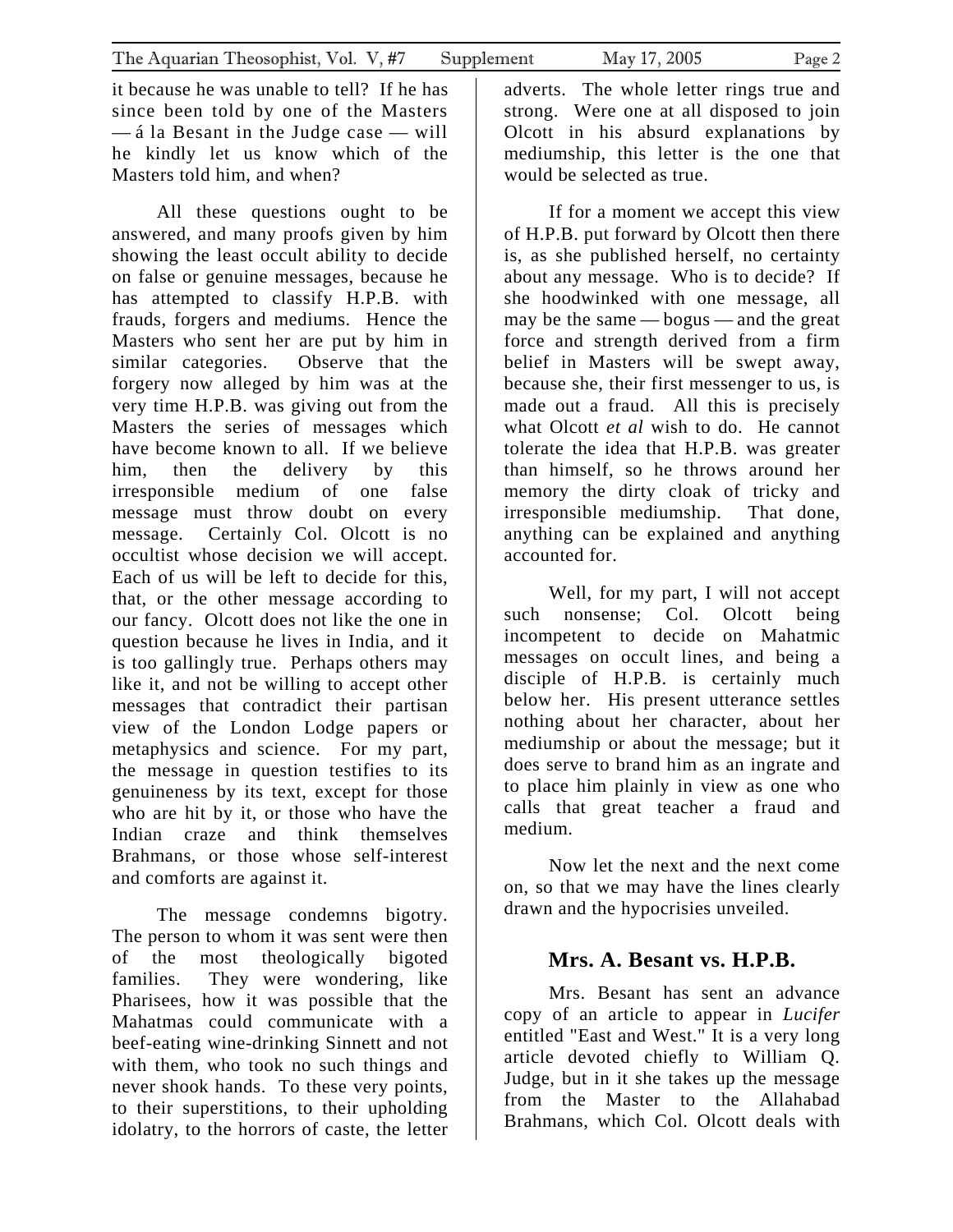All these questions ought to be answered, and many proofs given by him showing the least occult ability to decide on false or genuine messages, because he has attempted to classify H.P.B. with frauds, forgers and mediums. Hence the Masters who sent her are put by him in similar categories. Observe that the forgery now alleged by him was at the very time H.P.B. was giving out from the Masters the series of messages which have become known to all. If we believe him, then the delivery by this irresponsible medium of one false message must throw doubt on every message. Certainly Col. Olcott is no occultist whose decision we will accept. Each of us will be left to decide for this, that, or the other message according to our fancy. Olcott does not like the one in question because he lives in India, and it is too gallingly true. Perhaps others may like it, and not be willing to accept other messages that contradict their partisan view of the London Lodge papers or metaphysics and science. For my part, the message in question testifies to its genuineness by its text, except for those who are hit by it, or those who have the Indian craze and think themselves Brahmans, or those whose self-interest and comforts are against it.

The message condemns bigotry. The person to whom it was sent were then of the most theologically bigoted families. They were wondering, like Pharisees, how it was possible that the Mahatmas could communicate with a beef-eating wine-drinking Sinnett and not with them, who took no such things and never shook hands. To these very points, to their superstitions, to their upholding idolatry, to the horrors of caste, the letter

adverts. The whole letter rings true and strong. Were one at all disposed to join Olcott in his absurd explanations by mediumship, this letter is the one that would be selected as true.

If for a moment we accept this view of H.P.B. put forward by Olcott then there is, as she published herself, no certainty about any message. Who is to decide? If she hoodwinked with one message, all may be the same — bogus — and the great force and strength derived from a firm belief in Masters will be swept away, because she, their first messenger to us, is made out a fraud. All this is precisely what Olcott *et al* wish to do. He cannot tolerate the idea that H.P.B. was greater than himself, so he throws around her memory the dirty cloak of tricky and irresponsible mediumship. That done, anything can be explained and anything accounted for.

Well, for my part, I will not accept such nonsense; Col. Olcott being incompetent to decide on Mahatmic messages on occult lines, and being a disciple of H.P.B. is certainly much below her. His present utterance settles nothing about her character, about her mediumship or about the message; but it does serve to brand him as an ingrate and to place him plainly in view as one who calls that great teacher a fraud and medium.

Now let the next and the next come on, so that we may have the lines clearly drawn and the hypocrisies unveiled.

### **Mrs. A. Besant vs. H.P.B.**

Mrs. Besant has sent an advance copy of an article to appear in *Lucifer* entitled "East and West." It is a very long article devoted chiefly to William Q. Judge, but in it she takes up the message from the Master to the Allahabad Brahmans, which Col. Olcott deals with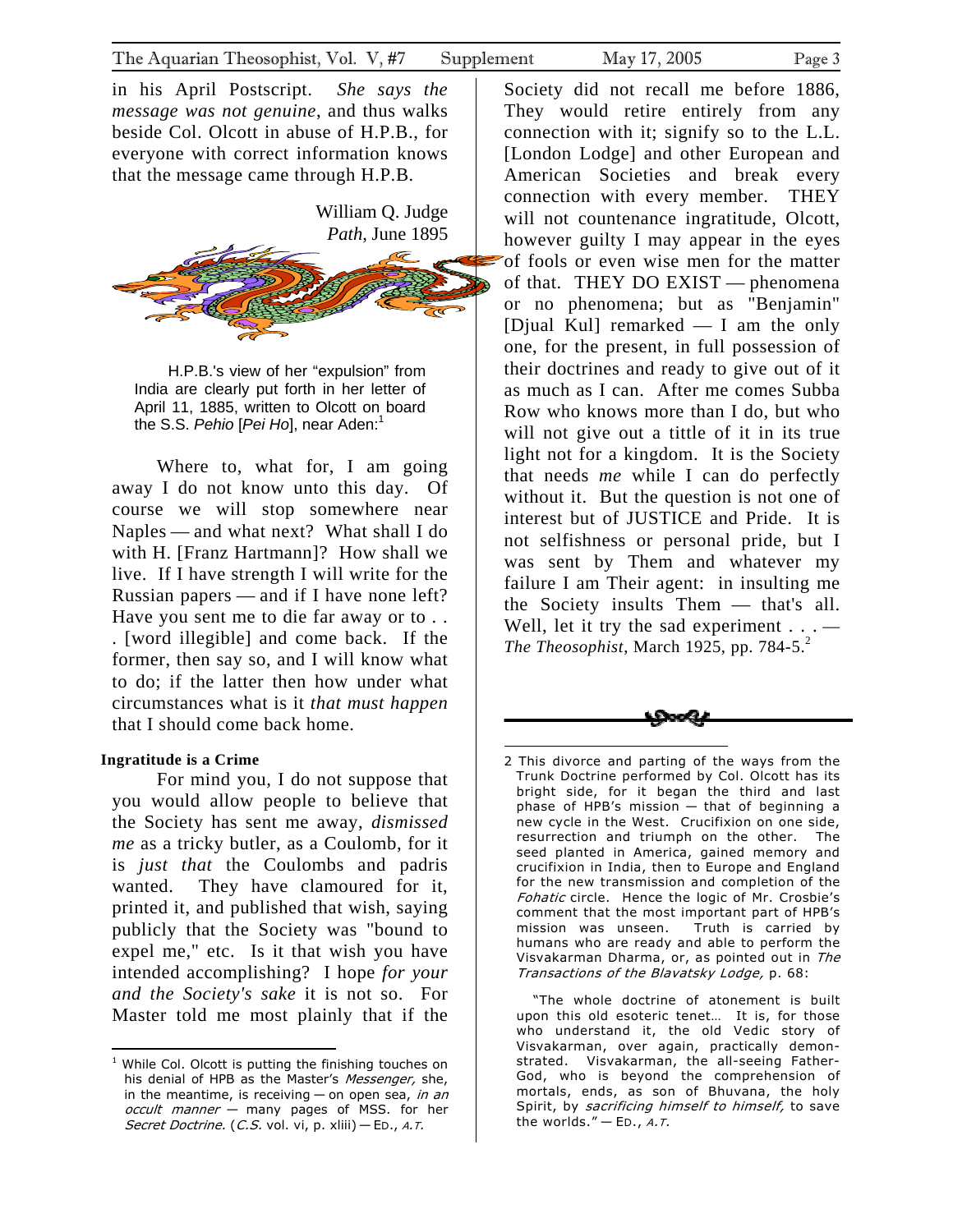in his April Postscript. *She says the message was not genuine*, and thus walks beside Col. Olcott in abuse of H.P.B., for everyone with correct information knows that the message came through H.P.B.





H.P.B.'s view of her "expulsion" from India are clearly put forth in her letter of April 11, 1885, written to Olcott on board the S.S. *Pehio* [*Pei Ho*], near Aden:<sup>1</sup>

Where to, what for, I am going away I do not know unto this day. Of course we will stop somewhere near Naples — and what next? What shall I do with H. [Franz Hartmann]? How shall we live. If I have strength I will write for the Russian papers — and if I have none left? Have you sent me to die far away or to . . . [word illegible] and come back. If the former, then say so, and I will know what to do; if the latter then how under what circumstances what is it *that must happen* that I should come back home.

#### **Ingratitude is a Crime**

For mind you, I do not suppose that you would allow people to believe that the Society has sent me away, *dismissed me* as a tricky butler, as a Coulomb, for it is *just that* the Coulombs and padris wanted. They have clamoured for it, printed it, and published that wish, saying publicly that the Society was "bound to expel me," etc. Is it that wish you have intended accomplishing? I hope *for your and the Society's sake* it is not so. For Master told me most plainly that if the

Society did not recall me before 1886, They would retire entirely from any connection with it; signify so to the L.L. [London Lodge] and other European and American Societies and break every connection with every member. THEY will not countenance ingratitude, Olcott, however guilty I may appear in the eyes of fools or even wise men for the matter of that. THEY DO EXIST — phenomena or no phenomena; but as "Benjamin" [Djual Kul] remarked — I am the only one, for the present, in full possession of their doctrines and ready to give out of it as much as I can. After me comes Subba Row who knows more than I do, but who will not give out a tittle of it in its true light not for a kingdom. It is the Society that needs *me* while I can do perfectly without it. But the question is not one of interest but of JUSTICE and Pride. It is not selfishness or personal pride, but I was sent by Them and whatever my failure I am Their agent: in insulting me the Society insults Them — that's all. Well, let it try the sad experiment  $\ldots$ *The Theosophist*, March 19[2](#page-2-1)5, pp. 784-5.<sup>2</sup>

<span id="page-2-1"></span>

 $\overline{a}$ 2 This divorce and parting of the ways from the Trunk Doctrine performed by Col. Olcott has its bright side, for it began the third and last phase of HPB's mission — that of beginning a new cycle in the West. Crucifixion on one side, resurrection and triumph on the other. The seed planted in America, gained memory and crucifixion in India, then to Europe and England for the new transmission and completion of the Fohatic circle. Hence the logic of Mr. Crosbie's comment that the most important part of HPB's mission was unseen. Truth is carried by humans who are ready and able to perform the Visvakarman Dharma, or, as pointed out in The Transactions of the Blavatsky Lodge, p. 68:

 "The whole doctrine of atonement is built upon this old esoteric tenet… It is, for those who understand it, the old Vedic story of Visvakarman, over again, practically demonstrated. Visvakarman, the all-seeing Father-God, who is beyond the comprehension of mortals, ends, as son of Bhuvana, the holy Spirit, by *sacrificing himself to himself*, to save the worlds."  $-$  ED., A.T.

<span id="page-2-0"></span><sup>1</sup> Secret Doctrine. (C.S. vol. vi, p. xliii) — ED., A.T. <sup>1</sup> While Col. Olcott is putting the finishing touches on his denial of HPB as the Master's Messenger, she, in the meantime, is receiving  $-$  on open sea, in an occult manner - many pages of MSS. for her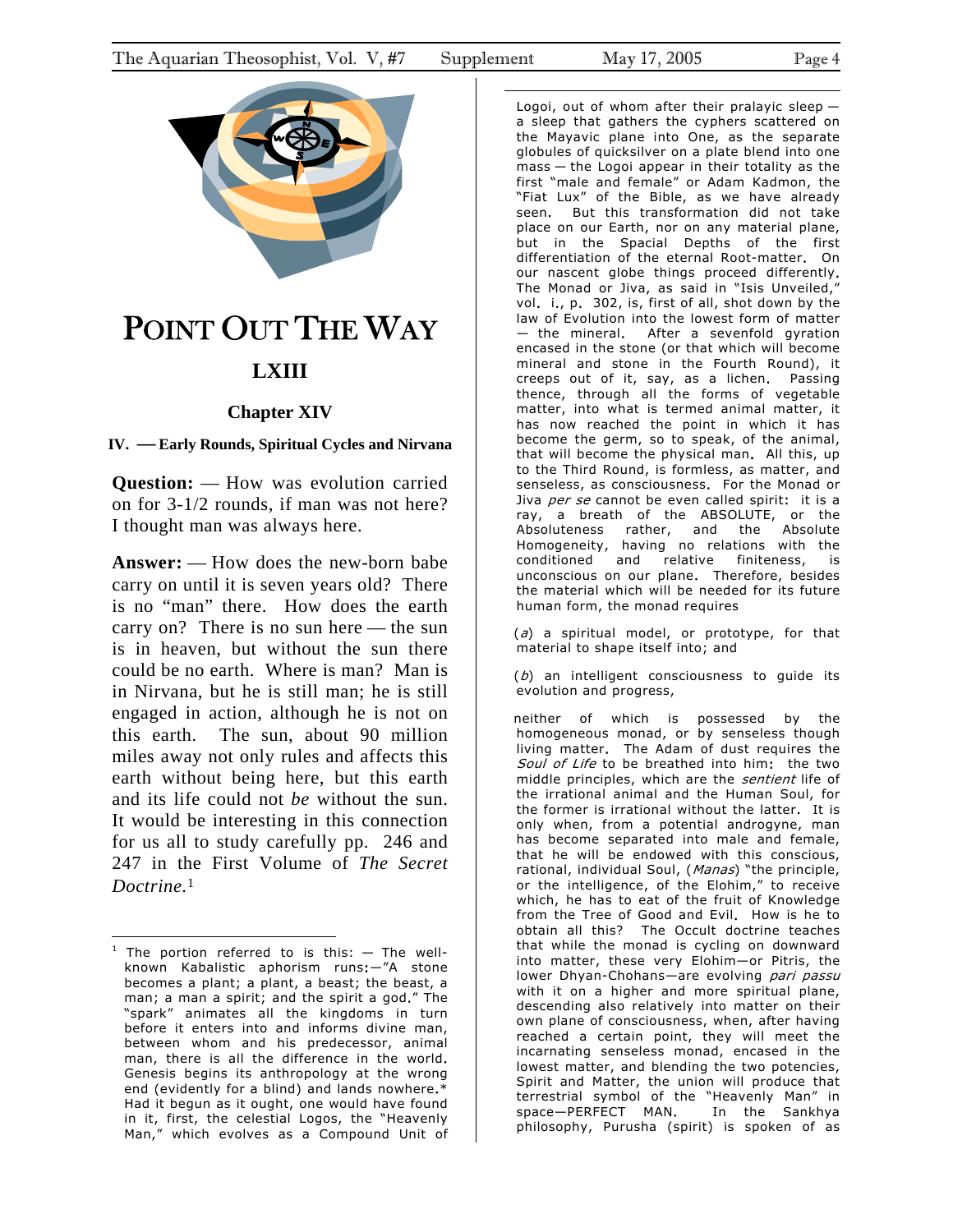$\overline{a}$ 

<span id="page-3-0"></span>

# POINT OUT THE WAY

## **LXIII**

#### **Chapter XIV**

**IV. —Early Rounds, Spiritual Cycles and Nirvana** 

**Question:** — How was evolution carried on for 3-1/2 rounds, if man was not here? I thought man was always here.

**Answer:** — How does the new-born babe carry on until it is seven years old? There is no "man" there. How does the earth carry on? There is no sun here — the sun is in heaven, but without the sun there could be no earth. Where is man? Man is in Nirvana, but he is still man; he is still engaged in action, although he is not on this earth. The sun, about 90 million miles away not only rules and affects this earth without being here, but this earth and its life could not *be* without the sun. It would be interesting in this connection for us all to study carefully pp. 246 and 247 in the First Volume of *The Secret Doctrine.*[1](#page-3-1)

Logoi, out of whom after their pralayic sleep a sleep that gathers the cyphers scattered on the Mayavic plane into One, as the separate globules of quicksilver on a plate blend into one mass — the Logoi appear in their totality as the first "male and female" or Adam Kadmon, the "Fiat Lux" of the Bible, as we have already seen. But this transformation did not take place on our Earth, nor on any material plane, but in the Spacial Depths of the first differentiation of the eternal Root-matter. On our nascent globe things proceed differently. The Monad or Jiva, as said in "Isis Unveiled," vol. i., p. 302, is, first of all, shot down by the law of Evolution into the lowest form of matter — the mineral. After a sevenfold gyration encased in the stone (or that which will become mineral and stone in the Fourth Round), it creeps out of it, say, as a lichen. Passing thence, through all the forms of vegetable matter, into what is termed animal matter, it has now reached the point in which it has become the germ, so to speak, of the animal, that will become the physical man. All this, up to the Third Round, is formless, as matter, and senseless, as consciousness. For the Monad or Jiva per se cannot be even called spirit: it is a ray, a breath of the ABSOLUTE, or the Absoluteness rather, and the Absolute Homogeneity, having no relations with the conditioned and relative finiteness, is unconscious on our plane. Therefore, besides the material which will be needed for its future human form, the monad requires

(a) a spiritual model, or prototype, for that material to shape itself into; and

 $(b)$  an intelligent consciousness to guide its evolution and progress,

neither of which is possessed by the homogeneous monad, or by senseless though living matter. The Adam of dust requires the Soul of Life to be breathed into him: the two middle principles, which are the sentient life of the irrational animal and the Human Soul, for the former is irrational without the latter. It is only when, from a potential androgyne, man has become separated into male and female, that he will be endowed with this conscious, rational, individual Soul, (Manas) "the principle, or the intelligence, of the Elohim," to receive which, he has to eat of the fruit of Knowledge from the Tree of Good and Evil. How is he to obtain all this? The Occult doctrine teaches that while the monad is cycling on downward into matter, these very Elohim—or Pitris, the lower Dhyan-Chohans—are evolving pari passu with it on a higher and more spiritual plane, descending also relatively into matter on their own plane of consciousness, when, after having reached a certain point, they will meet the incarnating senseless monad, encased in the lowest matter, and blending the two potencies, Spirit and Matter, the union will produce that terrestrial symbol of the "Heavenly Man" in space—PERFECT MAN. In the Sankhya philosophy, Purusha (spirit) is spoken of as

<span id="page-3-1"></span> $\overline{a}$  $1$  The portion referred to is this:  $-$  The wellknown Kabalistic aphorism runs:—"A stone becomes a plant; a plant, a beast; the beast, a man; a man a spirit; and the spirit a god." The "spark" animates all the kingdoms in turn before it enters into and informs divine man, between whom and his predecessor, animal man, there is all the difference in the world. Genesis begins its anthropology at the wrong end (evidently for a blind) and lands nowhere.\* Had it begun as it ought, one would have found in it, first, the celestial Logos, the "Heavenly Man," which evolves as a Compound Unit of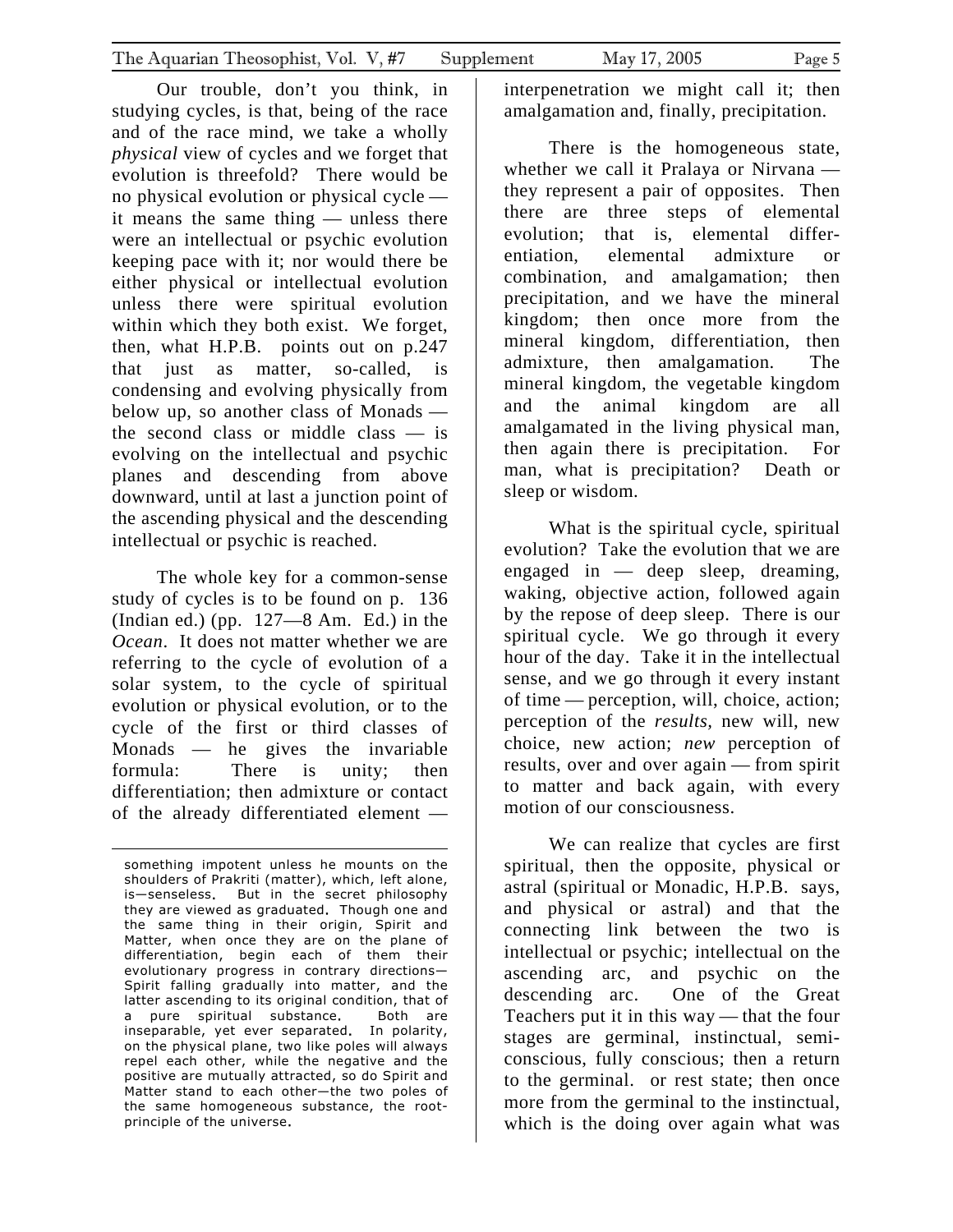Our trouble, don't you think, in studying cycles, is that, being of the race and of the race mind, we take a wholly *physical* view of cycles and we forget that evolution is threefold? There would be no physical evolution or physical cycle it means the same thing — unless there were an intellectual or psychic evolution keeping pace with it; nor would there be either physical or intellectual evolution unless there were spiritual evolution within which they both exist. We forget, then, what H.P.B. points out on p.247 that just as matter, so-called, is condensing and evolving physically from below up, so another class of Monads the second class or middle class — is evolving on the intellectual and psychic planes and descending from above downward, until at last a junction point of the ascending physical and the descending intellectual or psychic is reached.

The whole key for a common-sense study of cycles is to be found on p. 136 (Indian ed.) (pp. 127—8 Am. Ed.) in the *Ocean*. It does not matter whether we are referring to the cycle of evolution of a solar system, to the cycle of spiritual evolution or physical evolution, or to the cycle of the first or third classes of Monads — he gives the invariable formula: There is unity; then differentiation; then admixture or contact of the already differentiated element —

 $\overline{a}$ 

interpenetration we might call it; then amalgamation and, finally, precipitation.

There is the homogeneous state, whether we call it Pralaya or Nirvana they represent a pair of opposites. Then there are three steps of elemental evolution; that is, elemental differentiation, elemental admixture or combination, and amalgamation; then precipitation, and we have the mineral kingdom; then once more from the mineral kingdom, differentiation, then admixture, then amalgamation. The mineral kingdom, the vegetable kingdom and the animal kingdom are all amalgamated in the living physical man, then again there is precipitation. For man, what is precipitation? Death or sleep or wisdom.

What is the spiritual cycle, spiritual evolution? Take the evolution that we are engaged in — deep sleep, dreaming, waking, objective action, followed again by the repose of deep sleep. There is our spiritual cycle. We go through it every hour of the day. Take it in the intellectual sense, and we go through it every instant of time — perception, will, choice, action; perception of the *results,* new will, new choice, new action; *new* perception of results, over and over again — from spirit to matter and back again, with every motion of our consciousness.

We can realize that cycles are first spiritual, then the opposite, physical or astral (spiritual or Monadic, H.P.B. says, and physical or astral) and that the connecting link between the two is intellectual or psychic; intellectual on the ascending arc, and psychic on the descending arc. One of the Great Teachers put it in this way — that the four stages are germinal, instinctual, semiconscious, fully conscious; then a return to the germinal. or rest state; then once more from the germinal to the instinctual, which is the doing over again what was

something impotent unless he mounts on the shoulders of Prakriti (matter), which, left alone, is—senseless. But in the secret philosophy they are viewed as graduated. Though one and the same thing in their origin, Spirit and Matter, when once they are on the plane of differentiation, begin each of them their evolutionary progress in contrary directions— Spirit falling gradually into matter, and the latter ascending to its original condition, that of a pure spiritual substance. Both are inseparable, yet ever separated. In polarity, on the physical plane, two like poles will always repel each other, while the negative and the positive are mutually attracted, so do Spirit and Matter stand to each other—the two poles of the same homogeneous substance, the rootprinciple of the universe.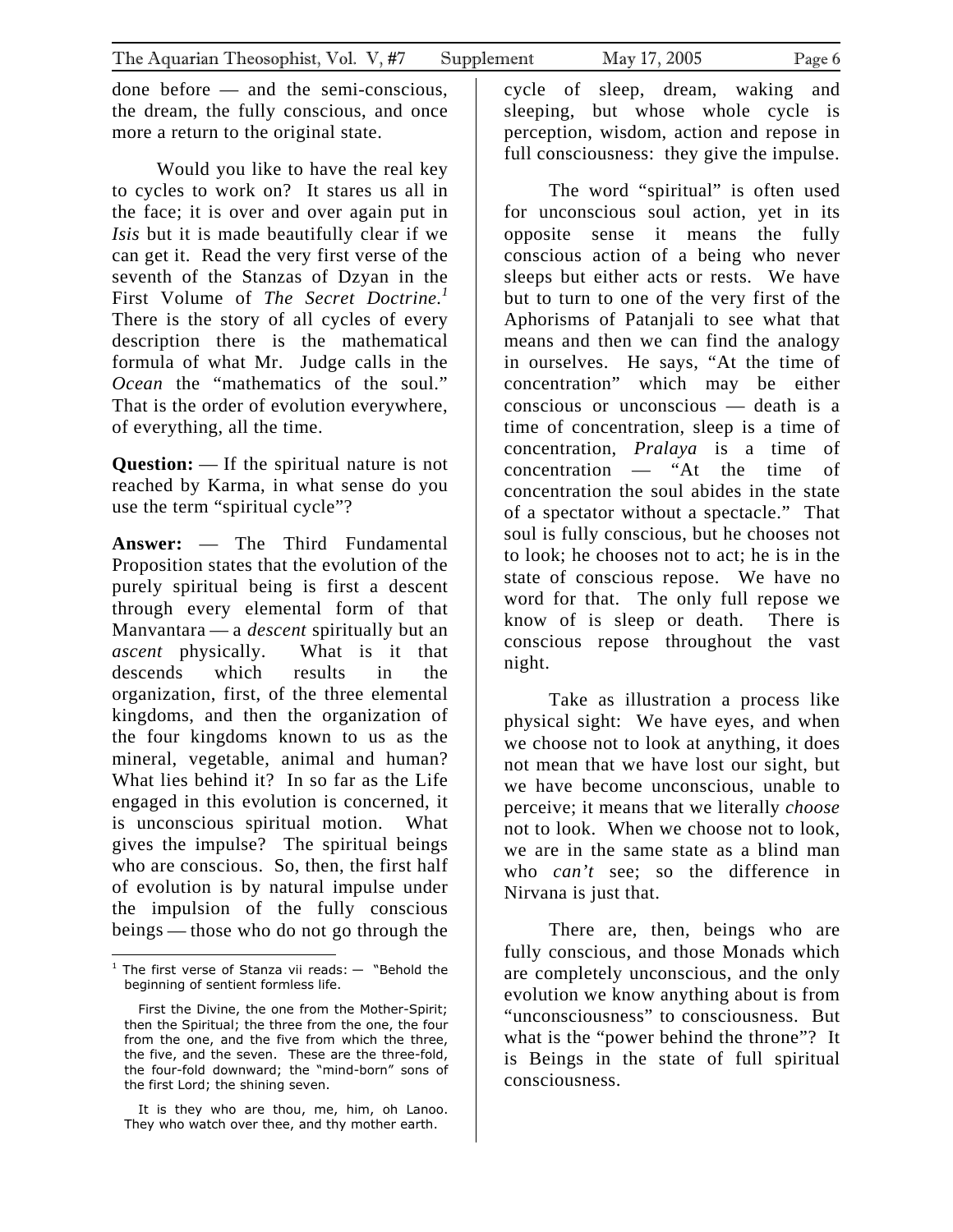done before — and the semi-conscious, the dream, the fully conscious, and once more a return to the original state.

Would you like to have the real key to cycles to work on? It stares us all in the face; it is over and over again put in *Isis* but it is made beautifully clear if we can get it. Read the very first verse of the seventh of the Stanzas of Dzyan in the First Volume of *The Secret Doctrine.*<sup>[1](#page-5-0)</sup> There is the story of all cycles of every description there is the mathematical formula of what Mr. Judge calls in the *Ocean* the "mathematics of the soul." That is the order of evolution everywhere, of everything, all the time.

**Question:** — If the spiritual nature is not reached by Karma, in what sense do you use the term "spiritual cycle"?

**Answer:** — The Third Fundamental Proposition states that the evolution of the purely spiritual being is first a descent through every elemental form of that Manvantara — a *descent* spiritually but an *ascent* physically. What is it that descends which results in the organization, first, of the three elemental kingdoms, and then the organization of the four kingdoms known to us as the mineral, vegetable, animal and human? What lies behind it? In so far as the Life engaged in this evolution is concerned, it is unconscious spiritual motion. What gives the impulse? The spiritual beings who are conscious. So, then, the first half of evolution is by natural impulse under the impulsion of the fully conscious beings — those who do not go through the

cycle of sleep, dream, waking and sleeping, but whose whole cycle is perception, wisdom, action and repose in full consciousness: they give the impulse.

The word "spiritual" is often used for unconscious soul action, yet in its opposite sense it means the fully conscious action of a being who never sleeps but either acts or rests. We have but to turn to one of the very first of the Aphorisms of Patanjali to see what that means and then we can find the analogy in ourselves. He says, "At the time of concentration" which may be either conscious or unconscious — death is a time of concentration, sleep is a time of concentration, *Pralaya* is a time of concentration — "At the time of concentration the soul abides in the state of a spectator without a spectacle." That soul is fully conscious, but he chooses not to look; he chooses not to act; he is in the state of conscious repose. We have no word for that. The only full repose we know of is sleep or death. There is conscious repose throughout the vast night.

Take as illustration a process like physical sight: We have eyes, and when we choose not to look at anything, it does not mean that we have lost our sight, but we have become unconscious, unable to perceive; it means that we literally *choose* not to look. When we choose not to look, we are in the same state as a blind man who *can't* see; so the difference in Nirvana is just that.

There are, then, beings who are fully conscious, and those Monads which are completely unconscious, and the only evolution we know anything about is from "unconsciousness" to consciousness. But what is the "power behind the throne"? It is Beings in the state of full spiritual consciousness.

<span id="page-5-0"></span> $\overline{a}$  $1$  The first verse of Stanza vii reads:  $-$  "Behold the beginning of sentient formless life.

First the Divine, the one from the Mother-Spirit; then the Spiritual; the three from the one, the four from the one, and the five from which the three, the five, and the seven. These are the three-fold, the four-fold downward; the "mind-born" sons of the first Lord; the shining seven.

It is they who are thou, me, him, oh Lanoo. They who watch over thee, and thy mother earth.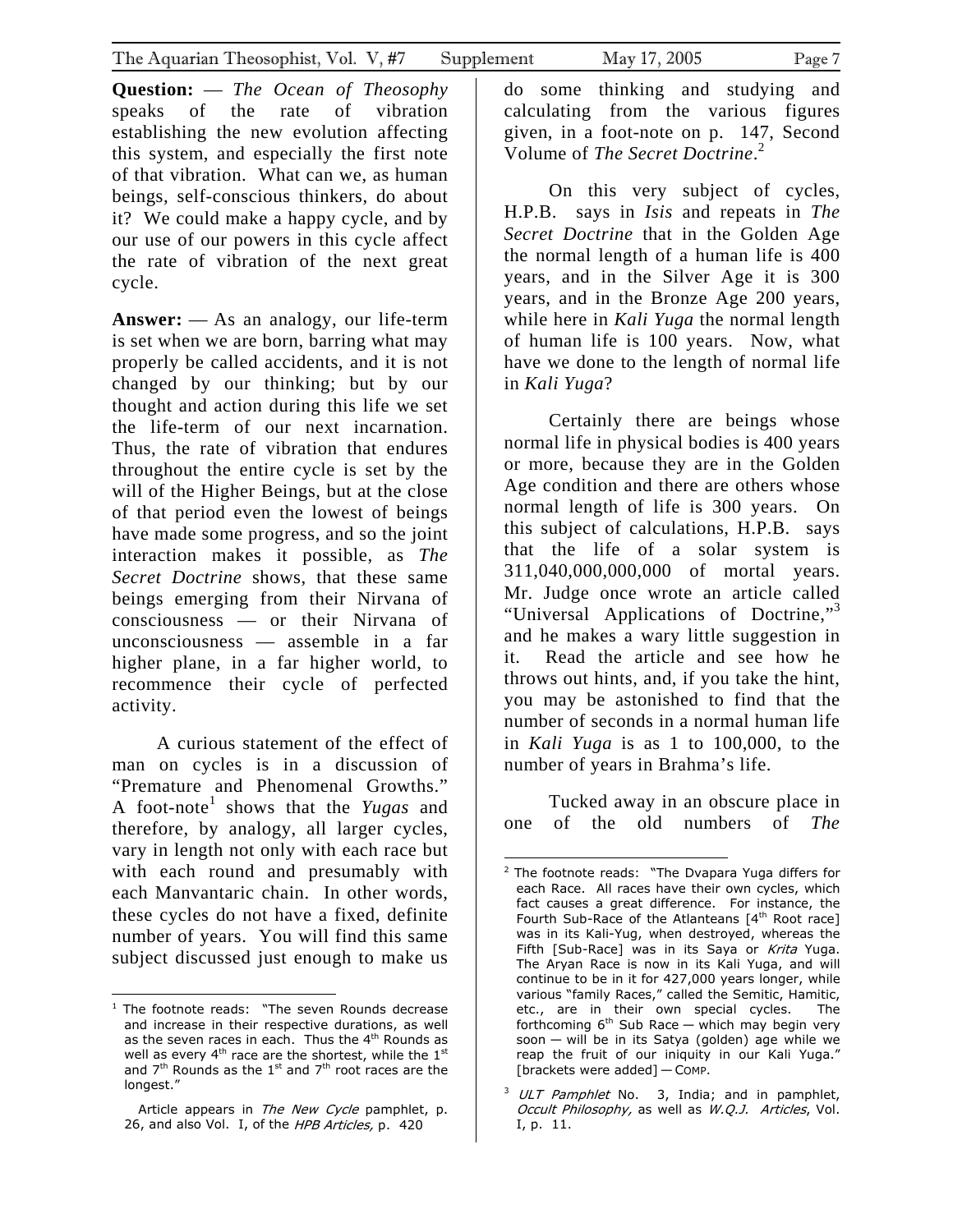**Question:** — *The Ocean of Theosophy* speaks of the rate of vibration establishing the new evolution affecting this system, and especially the first note of that vibration. What can we, as human beings, self-conscious thinkers, do about it? We could make a happy cycle, and by our use of our powers in this cycle affect the rate of vibration of the next great cycle.

**Answer:** — As an analogy, our life-term is set when we are born, barring what may properly be called accidents, and it is not changed by our thinking; but by our thought and action during this life we set the life-term of our next incarnation. Thus, the rate of vibration that endures throughout the entire cycle is set by the will of the Higher Beings, but at the close of that period even the lowest of beings have made some progress, and so the joint interaction makes it possible, as *The Secret Doctrine* shows, that these same beings emerging from their Nirvana of consciousness — or their Nirvana of unconsciousness — assemble in a far higher plane, in a far higher world, to recommence their cycle of perfected activity.

A curious statement of the effect of man on cycles is in a discussion of "Premature and Phenomenal Growths." A foot-note<sup>[1](#page-6-0)</sup> shows that the *Yugas* and therefore, by analogy, all larger cycles, vary in length not only with each race but with each round and presumably with each Manvantaric chain. In other words, these cycles do not have a fixed, definite number of years. You will find this same subject discussed just enough to make us

do some thinking and studying and calculating from the various figures given, in a foot-note on p. 147, Second Volume of *The Secret Doctrine*. [2](#page-6-1)

On this very subject of cycles, H.P.B. says in *Isis* and repeats in *The Secret Doctrine* that in the Golden Age the normal length of a human life is 400 years, and in the Silver Age it is 300 years, and in the Bronze Age 200 years, while here in *Kali Yuga* the normal length of human life is 100 years. Now, what have we done to the length of normal life in *Kali Yuga*?

Certainly there are beings whose normal life in physical bodies is 400 years or more, because they are in the Golden Age condition and there are others whose normal length of life is 300 years. On this subject of calculations, H.P.B. says that the life of a solar system is 311,040,000,000,000 of mortal years. Mr. Judge once wrote an article called "Universal Applications of Doctrine,"[3](#page-6-2) and he makes a wary little suggestion in it. Read the article and see how he throws out hints, and, if you take the hint, you may be astonished to find that the number of seconds in a normal human life in *Kali Yuga* is as 1 to 100,000, to the number of years in Brahma's life.

Tucked away in an obscure place in one of the old numbers of *The* 

<span id="page-6-0"></span> 1 The footnote reads: "The seven Rounds decrease and increase in their respective durations, as well as the seven races in each. Thus the  $4<sup>th</sup>$  Rounds as well as every  $4<sup>th</sup>$  race are the shortest, while the  $1<sup>st</sup>$ and  $7<sup>th</sup>$  Rounds as the 1<sup>st</sup> and  $7<sup>th</sup>$  root races are the longest."

Article appears in The New Cycle pamphlet, p. 26, and also Vol. I, of the HPB Articles, p. 420

<span id="page-6-1"></span> $\overline{a}$  $2$  The footnote reads: "The Dvapara Yuga differs for each Race. All races have their own cycles, which fact causes a great difference. For instance, the Fourth Sub-Race of the Atlanteans [4<sup>th</sup> Root race] was in its Kali-Yug, when destroyed, whereas the Fifth [Sub-Race] was in its Saya or Krita Yuga. The Aryan Race is now in its Kali Yuga, and will continue to be in it for 427,000 years longer, while various "family Races," called the Semitic, Hamitic, etc., are in their own special cycles. The forthcoming  $6^{th}$  Sub Race — which may begin very soon — will be in its Satya (golden) age while we reap the fruit of our iniquity in our Kali Yuga." [brackets were added] — COMP.

<span id="page-6-2"></span><sup>&</sup>lt;sup>3</sup> ULT Pamphlet No. 3, India; and in pamphlet, Occult Philosophy, as well as W.Q.J. Articles, Vol. I, p. 11.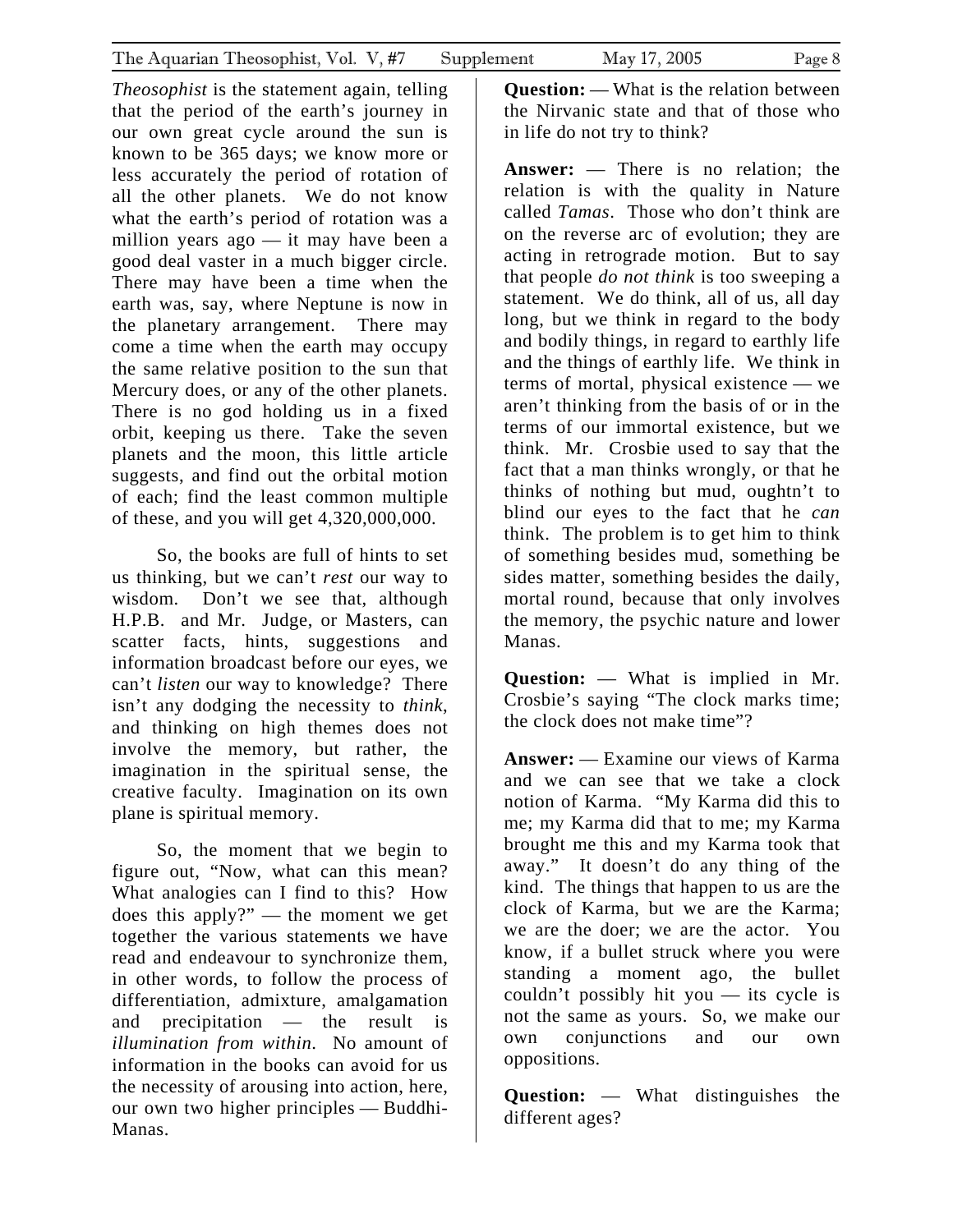*Theosophist* is the statement again, telling that the period of the earth's journey in our own great cycle around the sun is known to be 365 days; we know more or less accurately the period of rotation of all the other planets. We do not know what the earth's period of rotation was a million years ago — it may have been a good deal vaster in a much bigger circle. There may have been a time when the earth was, say, where Neptune is now in the planetary arrangement. There may come a time when the earth may occupy the same relative position to the sun that Mercury does, or any of the other planets. There is no god holding us in a fixed orbit, keeping us there. Take the seven planets and the moon, this little article suggests, and find out the orbital motion of each; find the least common multiple of these, and you will get 4,320,000,000.

So, the books are full of hints to set us thinking, but we can't *rest* our way to wisdom. Don't we see that, although H.P.B. and Mr. Judge, or Masters, can scatter facts, hints, suggestions and information broadcast before our eyes, we can't *listen* our way to knowledge? There isn't any dodging the necessity to *think*, and thinking on high themes does not involve the memory, but rather, the imagination in the spiritual sense, the creative faculty. Imagination on its own plane is spiritual memory.

So, the moment that we begin to figure out, "Now, what can this mean? What analogies can I find to this? How does this apply?" — the moment we get together the various statements we have read and endeavour to synchronize them, in other words, to follow the process of differentiation, admixture, amalgamation and precipitation — the result is *illumination from within*. No amount of information in the books can avoid for us the necessity of arousing into action, here, our own two higher principles — Buddhi-Manas.

**Question:** — What is the relation between the Nirvanic state and that of those who in life do not try to think?

**Answer:** — There is no relation; the relation is with the quality in Nature called *Tamas*. Those who don't think are on the reverse arc of evolution; they are acting in retrograde motion. But to say that people *do not think* is too sweeping a statement. We do think, all of us, all day long, but we think in regard to the body and bodily things, in regard to earthly life and the things of earthly life. We think in terms of mortal, physical existence — we aren't thinking from the basis of or in the terms of our immortal existence, but we think. Mr. Crosbie used to say that the fact that a man thinks wrongly, or that he thinks of nothing but mud, oughtn't to blind our eyes to the fact that he *can* think. The problem is to get him to think of something besides mud, something be sides matter, something besides the daily, mortal round, because that only involves the memory, the psychic nature and lower Manas.

**Question:** — What is implied in Mr. Crosbie's saying "The clock marks time; the clock does not make time"?

**Answer:** — Examine our views of Karma and we can see that we take a clock notion of Karma. "My Karma did this to me; my Karma did that to me; my Karma brought me this and my Karma took that away." It doesn't do any thing of the kind. The things that happen to us are the clock of Karma, but we are the Karma; we are the doer; we are the actor. You know, if a bullet struck where you were standing a moment ago, the bullet couldn't possibly hit you — its cycle is not the same as yours. So, we make our own conjunctions and our own oppositions.

**Question:** — What distinguishes the different ages?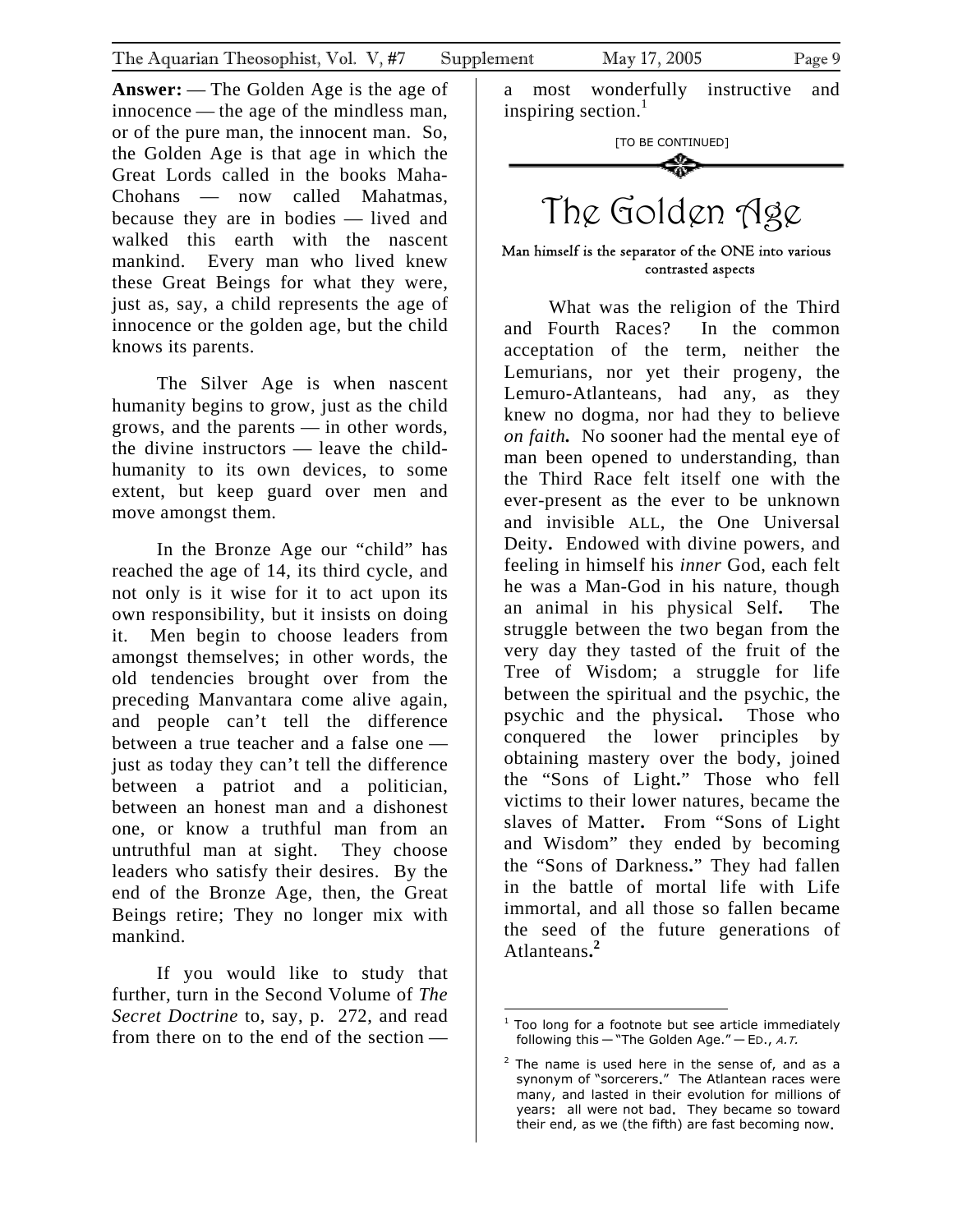<span id="page-8-0"></span>**Answer:** — The Golden Age is the age of innocence — the age of the mindless man, or of the pure man, the innocent man. So, the Golden Age is that age in which the Great Lords called in the books Maha-Chohans — now called Mahatmas, because they are in bodies — lived and walked this earth with the nascent mankind. Every man who lived knew these Great Beings for what they were, just as, say, a child represents the age of innocence or the golden age, but the child knows its parents.

The Silver Age is when nascent humanity begins to grow, just as the child grows, and the parents — in other words, the divine instructors — leave the childhumanity to its own devices, to some extent, but keep guard over men and move amongst them.

In the Bronze Age our "child" has reached the age of 14, its third cycle, and not only is it wise for it to act upon its own responsibility, but it insists on doing it. Men begin to choose leaders from amongst themselves; in other words, the old tendencies brought over from the preceding Manvantara come alive again, and people can't tell the difference between a true teacher and a false one just as today they can't tell the difference between a patriot and a politician, between an honest man and a dishonest one, or know a truthful man from an untruthful man at sight. They choose leaders who satisfy their desires. By the end of the Bronze Age, then, the Great Beings retire; They no longer mix with mankind.

If you would like to study that further, turn in the Second Volume of *The Secret Doctrine* to, say, p. 272, and read from there on to the end of the section —

a most wonderfully instructive and inspiring section. $<sup>1</sup>$  $<sup>1</sup>$  $<sup>1</sup>$ </sup>

[TO BE CONTINUED]

# The Golden Age

#### Man himself is the separator of the ONE into various contrasted aspects

What was the religion of the Third and Fourth Races? In the common acceptation of the term, neither the Lemurians, nor yet their progeny, the Lemuro-Atlanteans, had any, as they knew no dogma, nor had they to believe *on faith.* No sooner had the mental eye of man been opened to understanding, than the Third Race felt itself one with the ever-present as the ever to be unknown and invisible ALL, the One Universal Deity**.** Endowed with divine powers, and feeling in himself his *inner* God, each felt he was a Man-God in his nature, though an animal in his physical Self**.** The struggle between the two began from the very day they tasted of the fruit of the Tree of Wisdom; a struggle for life between the spiritual and the psychic, the psychic and the physical**.** Those who conquered the lower principles by obtaining mastery over the body, joined the "Sons of Light**.**" Those who fell victims to their lower natures, became the slaves of Matter**.** From "Sons of Light and Wisdom" they ended by becoming the "Sons of Darkness**.**" They had fallen in the battle of mortal life with Life immortal, and all those so fallen became the seed of the future generations of Atlanteans**. [2](#page-8-2)**

<span id="page-8-1"></span> $\overline{a}$  $1$  Too long for a footnote but see article immediately following this  $-$  "The Golden Age."  $-$  ED., A.T.

<span id="page-8-2"></span> $2$  The name is used here in the sense of, and as a synonym of "sorcerers." The Atlantean races were many, and lasted in their evolution for millions of years: all were not bad. They became so toward their end, as we (the fifth) are fast becoming now.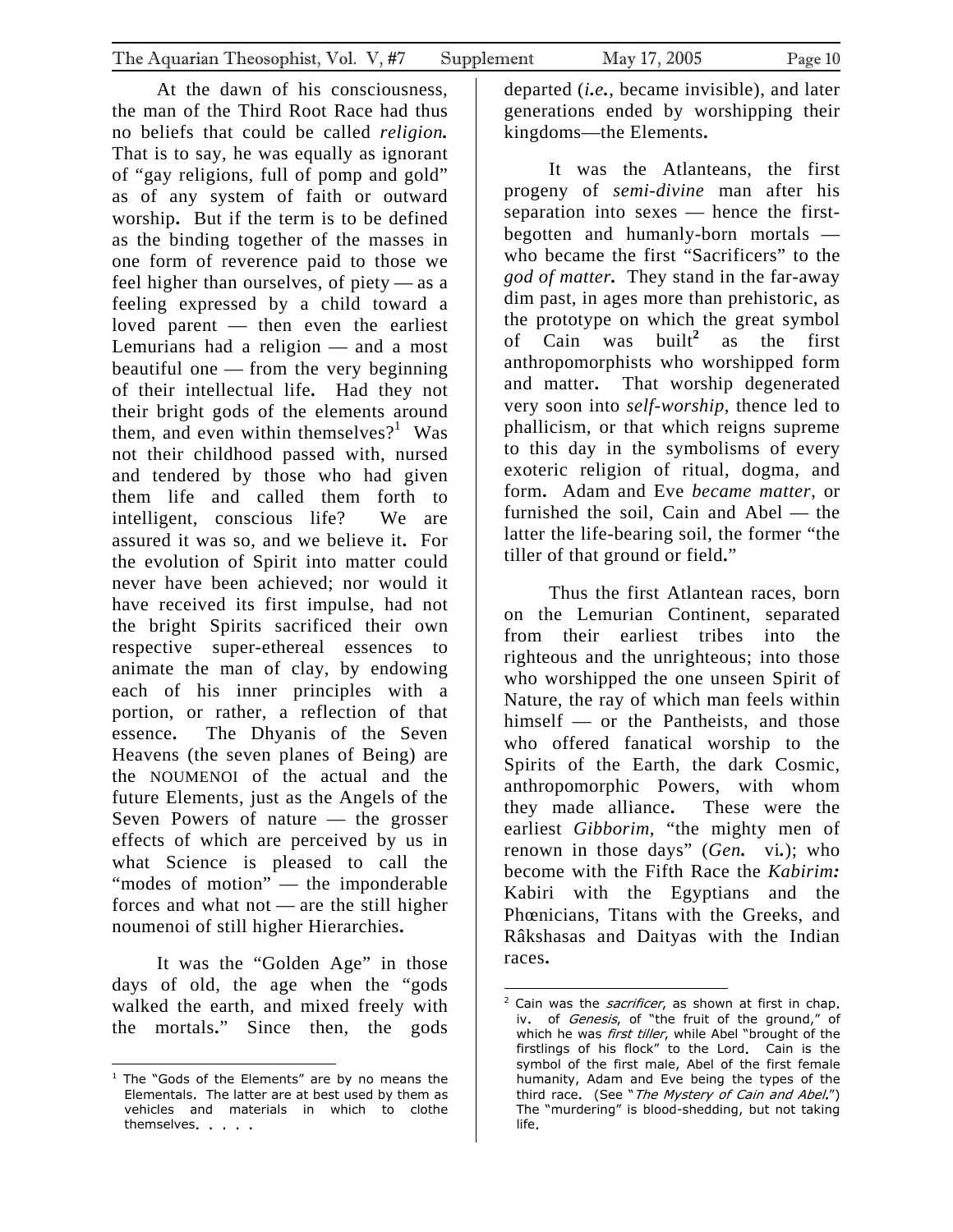At the dawn of his consciousness, the man of the Third Root Race had thus no beliefs that could be called *religion.*  That is to say, he was equally as ignorant of "gay religions, full of pomp and gold" as of any system of faith or outward worship**.** But if the term is to be defined as the binding together of the masses in one form of reverence paid to those we feel higher than ourselves, of piety — as a feeling expressed by a child toward a loved parent — then even the earliest Lemurians had a religion — and a most beautiful one — from the very beginning of their intellectual life**.** Had they not their bright gods of the elements around them, and even within themselves?<sup>[1](#page-9-0)</sup> Was not their childhood passed with, nursed and tendered by those who had given them life and called them forth to intelligent, conscious life? We are assured it was so, and we believe it**.** For the evolution of Spirit into matter could never have been achieved; nor would it have received its first impulse, had not the bright Spirits sacrificed their own respective super-ethereal essences to animate the man of clay, by endowing each of his inner principles with a portion, or rather, a reflection of that essence**.** The Dhyanis of the Seven Heavens (the seven planes of Being) are the NOUMENOI of the actual and the future Elements, just as the Angels of the Seven Powers of nature — the grosser effects of which are perceived by us in what Science is pleased to call the "modes of motion" — the imponderable forces and what not — are the still higher noumenoi of still higher Hierarchies**.**

It was the "Golden Age" in those days of old, the age when the "gods walked the earth, and mixed freely with the mortals**.**" Since then, the gods

departed (*i.e.*, became invisible), and later generations ended by worshipping their kingdoms—the Elements**.**

It was the Atlanteans, the first progeny of *semi-divine* man after his separation into sexes — hence the firstbegotten and humanly-born mortals who became the first "Sacrificers" to the *god of matter.* They stand in the far-away dim past, in ages more than prehistoric, as the prototype on which the great symbol of Cain was built**[2](#page-9-1)** as the first anthropomorphists who worshipped form and matter**.** That worship degenerated very soon into *self-worship*, thence led to phallicism, or that which reigns supreme to this day in the symbolisms of every exoteric religion of ritual, dogma, and form**.** Adam and Eve *became matter*, or furnished the soil, Cain and Abel — the latter the life-bearing soil, the former "the tiller of that ground or field**.**"

Thus the first Atlantean races, born on the Lemurian Continent, separated from their earliest tribes into the righteous and the unrighteous; into those who worshipped the one unseen Spirit of Nature, the ray of which man feels within himself — or the Pantheists, and those who offered fanatical worship to the Spirits of the Earth, the dark Cosmic, anthropomorphic Powers, with whom they made alliance**.** These were the earliest *Gibborim*, "the mighty men of renown in those days" (*Gen.* vi*.*); who become with the Fifth Race the *Kabirim:* Kabiri with the Egyptians and the Phœnicians, Titans with the Greeks, and Râkshasas and Daityas with the Indian races**.**

<span id="page-9-0"></span> 1 The "Gods of the Elements" are by no means the Elementals. The latter are at best used by them as vehicles and materials in which to clothe themselves. . . . .

<span id="page-9-1"></span><sup>&</sup>lt;u>.</u> third race. (See "*The Mystery of Cain and Abel."*) <sup>2</sup> Cain was the *sacrificer*, as shown at first in chap. iv. of *Genesis*, of "the fruit of the ground," of which he was first tiller, while Abel "brought of the firstlings of his flock" to the Lord. Cain is the symbol of the first male, Abel of the first female humanity, Adam and Eve being the types of the The "murdering" is blood-shedding, but not taking life.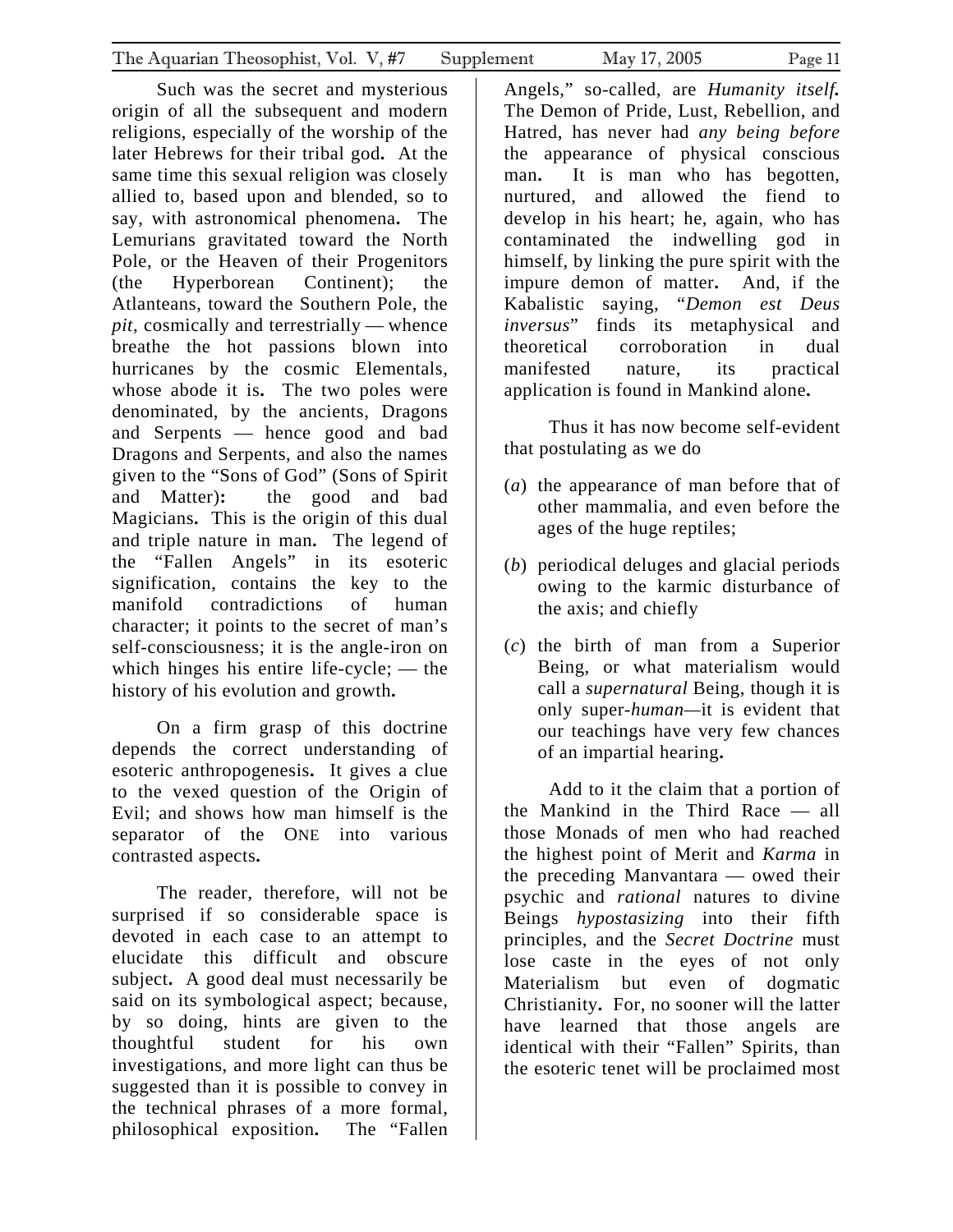Such was the secret and mysterious origin of all the subsequent and modern religions, especially of the worship of the later Hebrews for their tribal god**.** At the same time this sexual religion was closely allied to, based upon and blended, so to say, with astronomical phenomena**.** The Lemurians gravitated toward the North Pole, or the Heaven of their Progenitors (the Hyperborean Continent); the Atlanteans, toward the Southern Pole, the *pit*, cosmically and terrestrially — whence breathe the hot passions blown into hurricanes by the cosmic Elementals, whose abode it is. The two poles were denominated, by the ancients, Dragons and Serpents — hence good and bad Dragons and Serpents, and also the names given to the "Sons of God" (Sons of Spirit and Matter)**:** the good and bad Magicians**.** This is the origin of this dual and triple nature in man**.** The legend of the "Fallen Angels" in its esoteric signification, contains the key to the manifold contradictions of human character; it points to the secret of man's self-consciousness; it is the angle-iron on which hinges his entire life-cycle; — the history of his evolution and growth**.**

On a firm grasp of this doctrine depends the correct understanding of esoteric anthropogenesis**.** It gives a clue to the vexed question of the Origin of Evil; and shows how man himself is the separator of the ONE into various contrasted aspects**.**

The reader, therefore, will not be surprised if so considerable space is devoted in each case to an attempt to elucidate this difficult and obscure subject**.** A good deal must necessarily be said on its symbological aspect; because, by so doing, hints are given to the thoughtful student for his own investigations, and more light can thus be suggested than it is possible to convey in the technical phrases of a more formal, philosophical exposition**.** The "Fallen

Angels," so-called, are *Humanity itself.*  The Demon of Pride, Lust, Rebellion, and Hatred, has never had *any being before*  the appearance of physical conscious man**.** It is man who has begotten, nurtured, and allowed the fiend to develop in his heart; he, again, who has contaminated the indwelling god in himself, by linking the pure spirit with the impure demon of matter**.** And, if the Kabalistic saying, "*Demon est Deus inversus*" finds its metaphysical and theoretical corroboration in dual manifested nature, its practical application is found in Mankind alone**.**

Thus it has now become self-evident that postulating as we do

- (*a*) the appearance of man before that of other mammalia, and even before the ages of the huge reptiles;
- (*b*) periodical deluges and glacial periods owing to the karmic disturbance of the axis; and chiefly
- (*c*) the birth of man from a Superior Being, or what materialism would call a *supernatural* Being, though it is only super*-human—*it is evident that our teachings have very few chances of an impartial hearing**.**

Add to it the claim that a portion of the Mankind in the Third Race — all those Monads of men who had reached the highest point of Merit and *Karma* in the preceding Manvantara — owed their psychic and *rational* natures to divine Beings *hypostasizing* into their fifth principles, and the *Secret Doctrine* must lose caste in the eyes of not only Materialism but even of dogmatic Christianity**.** For, no sooner will the latter have learned that those angels are identical with their "Fallen" Spirits, than the esoteric tenet will be proclaimed most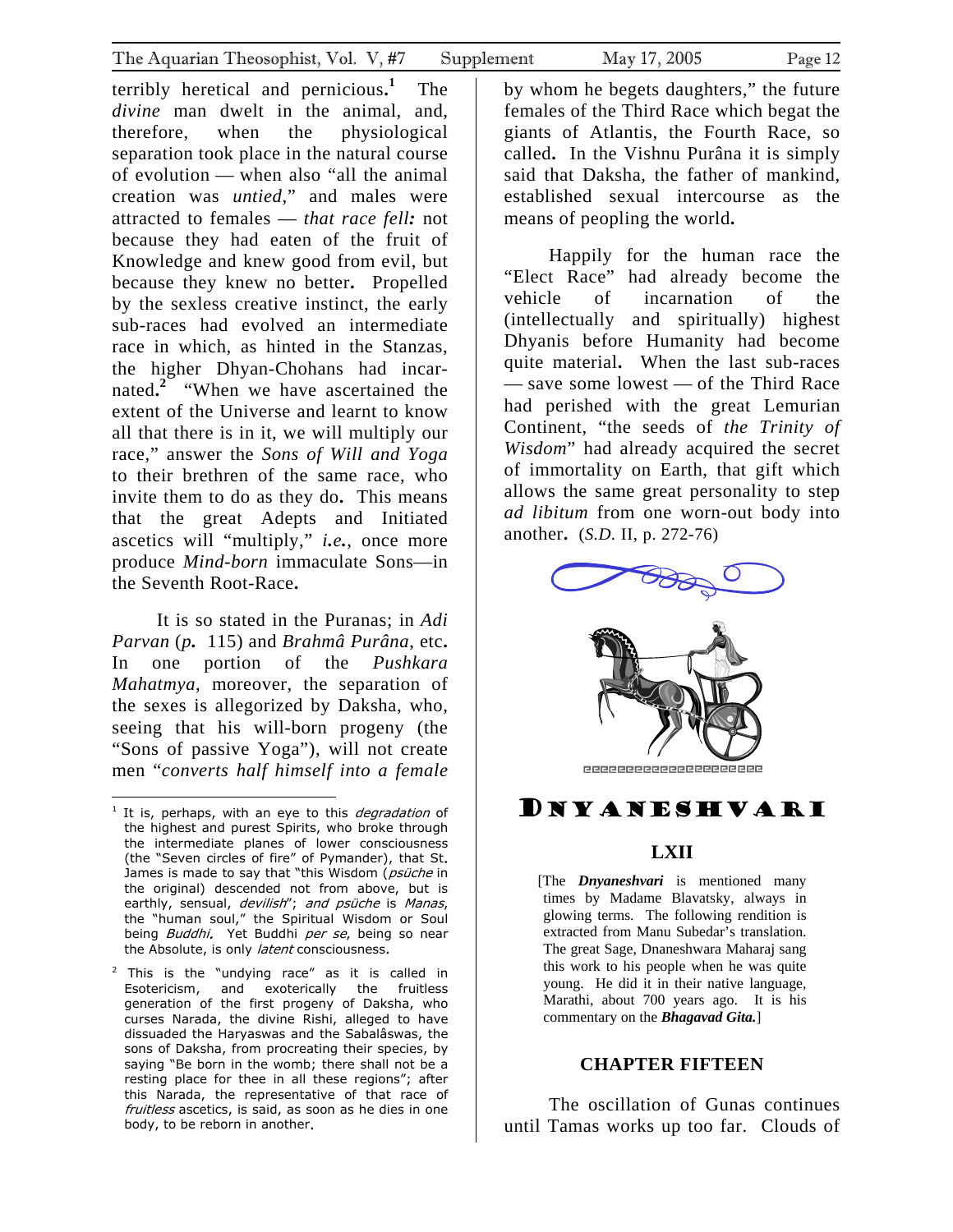<span id="page-11-0"></span>

| terribly heretical and pernicious. <sup>1</sup> The |  |  |
|-----------------------------------------------------|--|--|
| divine man dwelt in the animal, and,                |  |  |
| therefore, when the physiological                   |  |  |
| separation took place in the natural course         |  |  |
| of evolution - when also "all the animal            |  |  |
| creation was <i>untied</i> ," and males were        |  |  |
| attracted to females — that race fell: not          |  |  |
| because they had eaten of the fruit of              |  |  |
| Knowledge and knew good from evil, but              |  |  |
| because they knew no better. Propelled              |  |  |
| by the sexless creative instinct, the early         |  |  |
| sub-races had evolved an intermediate               |  |  |
| race in which, as hinted in the Stanzas,            |  |  |
| the higher Dhyan-Chohans had incar-                 |  |  |
| nated. <sup>2</sup> "When we have ascertained the   |  |  |
| extent of the Universe and learnt to know           |  |  |
| all that there is in it, we will multiply our       |  |  |
| race," answer the Sons of Will and Yoga             |  |  |
| to their brethren of the same race, who             |  |  |
| invite them to do as they do. This means            |  |  |
| that the great Adepts and Initiated                 |  |  |
| ascetics will "multiply," <i>i.e.</i> , once more   |  |  |
| produce Mind-born immaculate Sons-in                |  |  |
| the Seventh Root-Race.                              |  |  |

It is so stated in the Puranas; in *Adi Parvan* (*p.* 115) and *Brahmâ Purâna*, etc**.**  In one portion of the *Pushkara Mahatmya*, moreover, the separation of the sexes is allegorized by Daksha, who, seeing that his will-born progeny (the "Sons of passive Yoga"), will not create men "*converts half himself into a female*

1

<span id="page-11-2"></span>fruitless ascetics, is said, as soon as he dies in one  $2$  This is the "undying race" as it is called in Esotericism, and exoterically the fruitless generation of the first progeny of Daksha, who curses Narada, the divine Rishi, alleged to have dissuaded the Haryaswas and the Sabalâswas, the sons of Daksha, from procreating their species, by saying "Be born in the womb; there shall not be a resting place for thee in all these regions"; after this Narada, the representative of that race of body, to be reborn in another.

by whom he begets daughters," the future females of the Third Race which begat the giants of Atlantis, the Fourth Race, so called**.** In the Vishnu Purâna it is simply said that Daksha, the father of mankind, established sexual intercourse as the means of peopling the world**.**

Happily for the human race the "Elect Race" had already become the vehicle of incarnation of the (intellectually and spiritually) highest Dhyanis before Humanity had become quite material**.** When the last sub-races — save some lowest — of the Third Race had perished with the great Lemurian Continent, "the seeds of *the Trinity of Wisdom*" had already acquired the secret of immortality on Earth, that gift which allows the same great personality to step *ad libitum* from one worn-out body into another**.** (*S.D.* II, p. 272-76)



## DNYANESHVARI

#### **LXII**

[The *Dnyaneshvari* is mentioned many times by Madame Blavatsky, always in glowing terms. The following rendition is extracted from Manu Subedar's translation. The great Sage, Dnaneshwara Maharaj sang this work to his people when he was quite young. He did it in their native language, Marathi, about 700 years ago. It is his commentary on the *Bhagavad Gita.*]

#### **CHAPTER FIFTEEN**

The oscillation of Gunas continues until Tamas works up too far. Clouds of

<span id="page-11-1"></span>earthly, sensual, *devilish*"; and psüche is Manas, <sup>1</sup> It is, perhaps, with an eye to this *degradation* of the highest and purest Spirits, who broke through the intermediate planes of lower consciousness (the "Seven circles of fire" of Pymander), that St. James is made to say that "this Wisdom (psüche in the original) descended not from above, but is the "human soul," the Spiritual Wisdom or Soul being Buddhi. Yet Buddhi per se, being so near the Absolute, is only *latent* consciousness.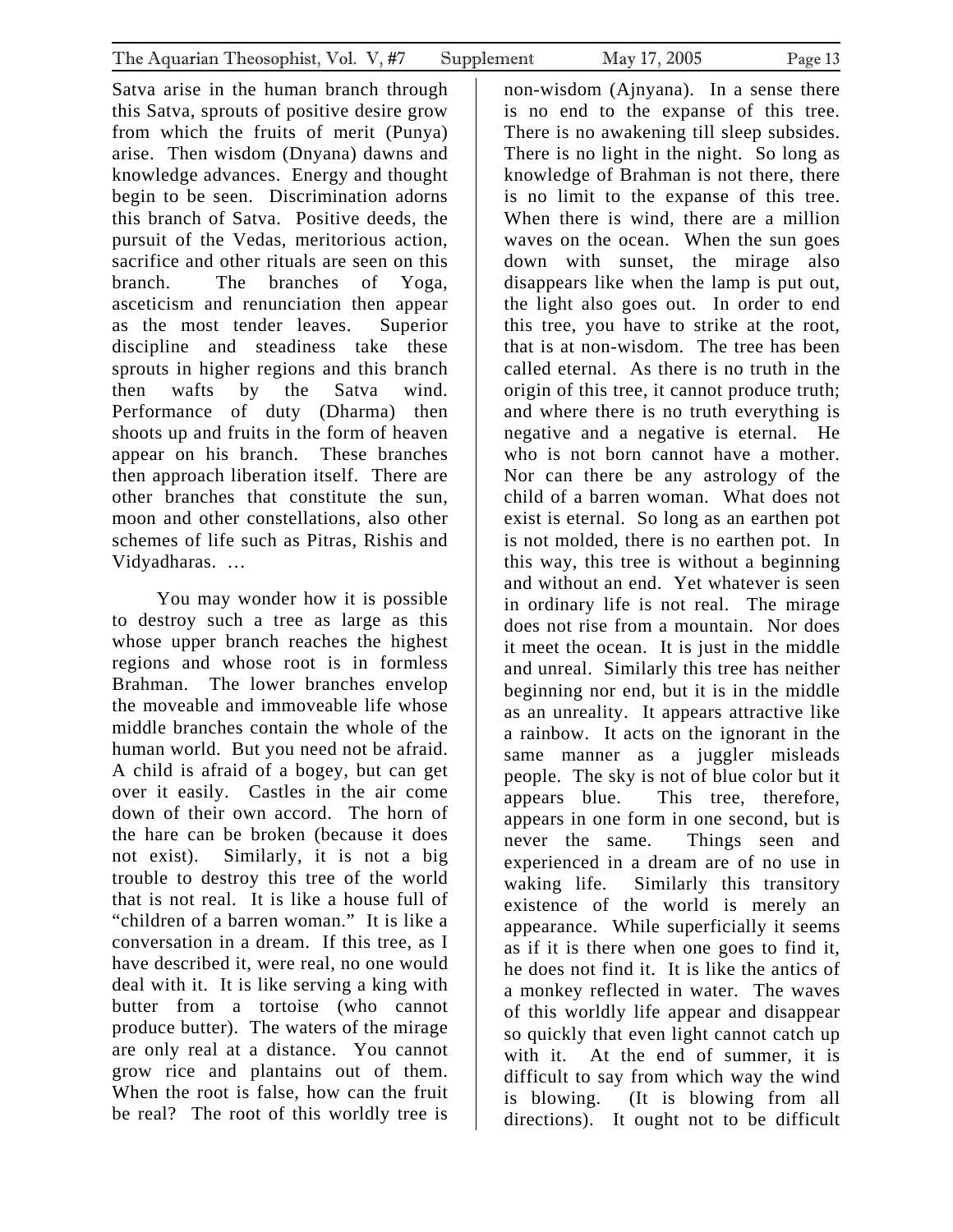Satva arise in the human branch through this Satva, sprouts of positive desire grow from which the fruits of merit (Punya) arise. Then wisdom (Dnyana) dawns and knowledge advances. Energy and thought begin to be seen. Discrimination adorns this branch of Satva. Positive deeds, the pursuit of the Vedas, meritorious action, sacrifice and other rituals are seen on this branch. The branches of Yoga, asceticism and renunciation then appear as the most tender leaves. Superior discipline and steadiness take these sprouts in higher regions and this branch then wafts by the Satva wind. Performance of duty (Dharma) then shoots up and fruits in the form of heaven appear on his branch. These branches then approach liberation itself. There are other branches that constitute the sun, moon and other constellations, also other schemes of life such as Pitras, Rishis and Vidyadharas. …

You may wonder how it is possible to destroy such a tree as large as this whose upper branch reaches the highest regions and whose root is in formless Brahman. The lower branches envelop the moveable and immoveable life whose middle branches contain the whole of the human world. But you need not be afraid. A child is afraid of a bogey, but can get over it easily. Castles in the air come down of their own accord. The horn of the hare can be broken (because it does not exist). Similarly, it is not a big trouble to destroy this tree of the world that is not real. It is like a house full of "children of a barren woman." It is like a conversation in a dream. If this tree, as I have described it, were real, no one would deal with it. It is like serving a king with butter from a tortoise (who cannot produce butter). The waters of the mirage are only real at a distance. You cannot grow rice and plantains out of them. When the root is false, how can the fruit be real? The root of this worldly tree is

non-wisdom (Ajnyana). In a sense there is no end to the expanse of this tree. There is no awakening till sleep subsides. There is no light in the night. So long as knowledge of Brahman is not there, there is no limit to the expanse of this tree. When there is wind, there are a million waves on the ocean. When the sun goes down with sunset, the mirage also disappears like when the lamp is put out, the light also goes out. In order to end this tree, you have to strike at the root, that is at non-wisdom. The tree has been called eternal. As there is no truth in the origin of this tree, it cannot produce truth; and where there is no truth everything is negative and a negative is eternal. He who is not born cannot have a mother. Nor can there be any astrology of the child of a barren woman. What does not exist is eternal. So long as an earthen pot is not molded, there is no earthen pot. In this way, this tree is without a beginning and without an end. Yet whatever is seen in ordinary life is not real. The mirage does not rise from a mountain. Nor does it meet the ocean. It is just in the middle and unreal. Similarly this tree has neither beginning nor end, but it is in the middle as an unreality. It appears attractive like a rainbow. It acts on the ignorant in the same manner as a juggler misleads people. The sky is not of blue color but it appears blue. This tree, therefore, appears in one form in one second, but is never the same. Things seen and experienced in a dream are of no use in waking life. Similarly this transitory existence of the world is merely an appearance. While superficially it seems as if it is there when one goes to find it, he does not find it. It is like the antics of a monkey reflected in water. The waves of this worldly life appear and disappear so quickly that even light cannot catch up with it. At the end of summer, it is difficult to say from which way the wind is blowing. (It is blowing from all directions). It ought not to be difficult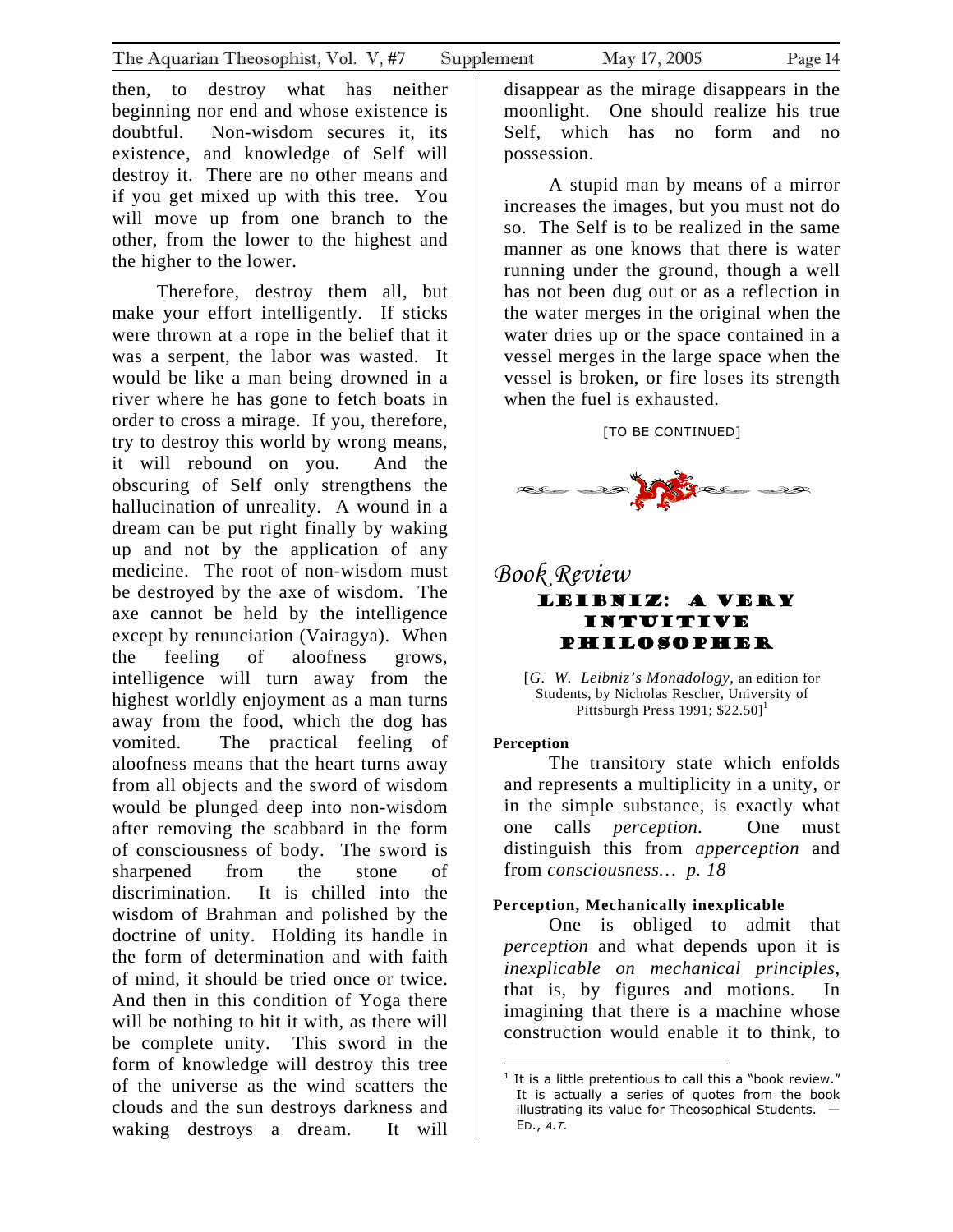<span id="page-13-0"></span>then, to destroy what has neither beginning nor end and whose existence is doubtful. Non-wisdom secures it, its existence, and knowledge of Self will destroy it. There are no other means and if you get mixed up with this tree. You will move up from one branch to the other, from the lower to the highest and

the higher to the lower.

Therefore, destroy them all, but make your effort intelligently. If sticks were thrown at a rope in the belief that it was a serpent, the labor was wasted. It would be like a man being drowned in a river where he has gone to fetch boats in order to cross a mirage. If you, therefore, try to destroy this world by wrong means, it will rebound on you. And the obscuring of Self only strengthens the hallucination of unreality. A wound in a dream can be put right finally by waking up and not by the application of any medicine. The root of non-wisdom must be destroyed by the axe of wisdom. The axe cannot be held by the intelligence except by renunciation (Vairagya). When the feeling of aloofness grows, intelligence will turn away from the highest worldly enjoyment as a man turns away from the food, which the dog has vomited. The practical feeling of aloofness means that the heart turns away from all objects and the sword of wisdom would be plunged deep into non-wisdom after removing the scabbard in the form of consciousness of body. The sword is sharpened from the stone of discrimination. It is chilled into the wisdom of Brahman and polished by the doctrine of unity. Holding its handle in the form of determination and with faith of mind, it should be tried once or twice. And then in this condition of Yoga there will be nothing to hit it with, as there will be complete unity. This sword in the form of knowledge will destroy this tree of the universe as the wind scatters the clouds and the sun destroys darkness and waking destroys a dream. It will

disappear as the mirage disappears in the moonlight. One should realize his true Self, which has no form and no possession.

A stupid man by means of a mirror increases the images, but you must not do so. The Self is to be realized in the same manner as one knows that there is water running under the ground, though a well has not been dug out or as a reflection in the water merges in the original when the water dries up or the space contained in a vessel merges in the large space when the vessel is broken, or fire loses its strength when the fuel is exhausted.

#### [TO BE CONTINUED]



#### *Book Review*  Leibniz: A very Intuitive Philosopher

#### **Perception**

The transitory state which enfolds and represents a multiplicity in a unity, or in the simple substance, is exactly what one calls *perception.* One must distinguish this from *apperception* and from *consciousness… p. 18* 

#### **Perception, Mechanically inexplicable**

One is obliged to admit that *perception* and what depends upon it is *inexplicable on mechanical principles,* that is, by figures and motions. In imagining that there is a machine whose construction would enable it to think, to

<sup>[</sup>*G. W. Leibniz's Monadology,* an edition for Students, by Nicholas Rescher, University of Pittsburgh Press [1](#page-13-1)991;  $$22.50$ <sup>1</sup>

<span id="page-13-1"></span> $\overline{a}$  $1$  It is a little pretentious to call this a "book review." It is actually a series of quotes from the book illustrating its value for Theosophical Students.  $-$ ED., <sup>A</sup>.T.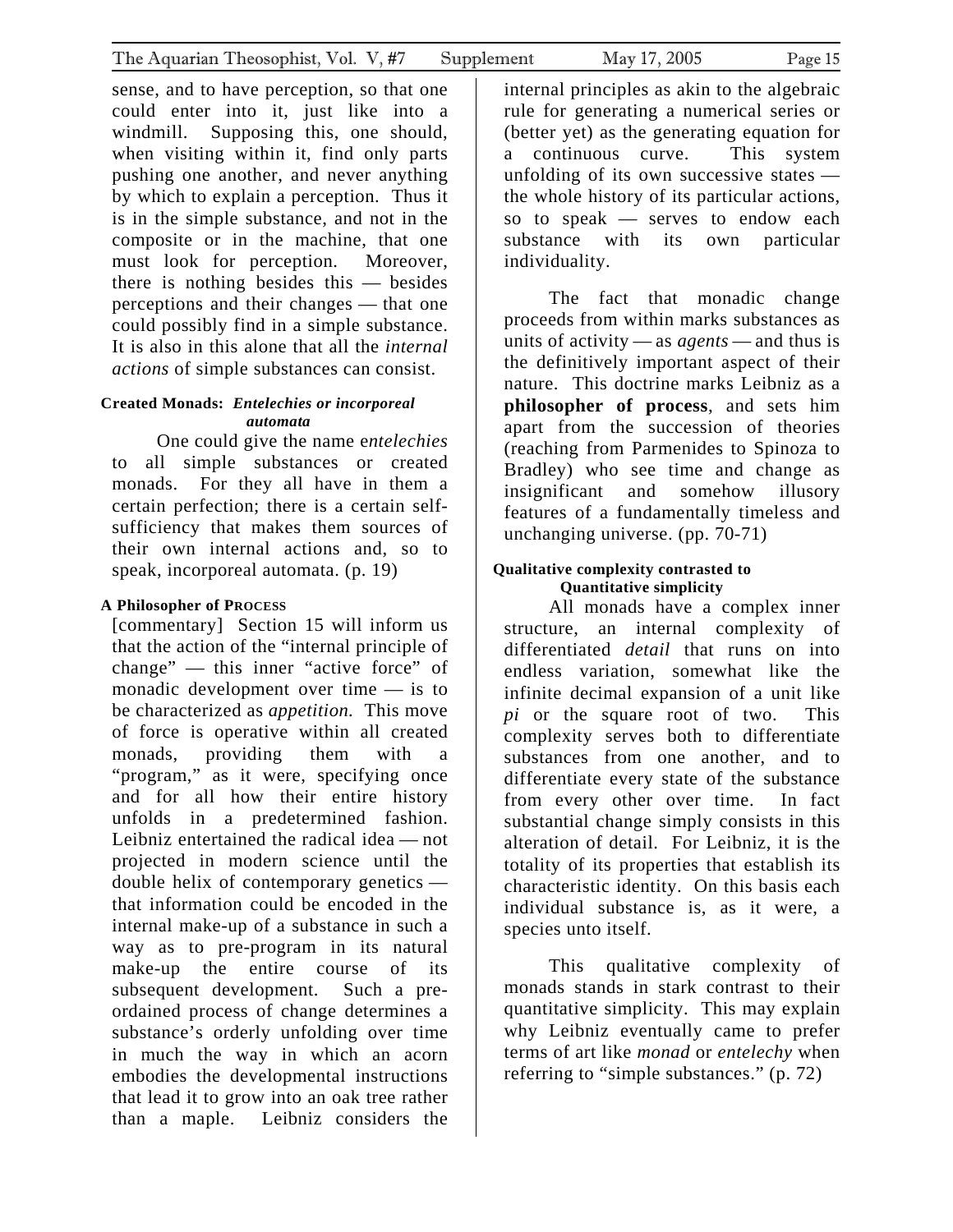when visiting within it, find only parts pushing one another, and never anything by which to explain a perception. Thus it is in the simple substance, and not in the composite or in the machine, that one must look for perception. Moreover, there is nothing besides this — besides perceptions and their changes — that one could possibly find in a simple substance. It is also in this alone that all the *internal actions* of simple substances can consist.

#### **Created Monads:** *Entelechies or incorporeal automata*

One could give the name e*ntelechies* to all simple substances or created monads. For they all have in them a certain perfection; there is a certain selfsufficiency that makes them sources of their own internal actions and, so to speak, incorporeal automata. (p. 19)

#### **A Philosopher of PROCESS**

[commentary] Section 15 will inform us that the action of the "internal principle of change" — this inner "active force" of monadic development over time — is to be characterized as *appetition.* This move of force is operative within all created monads, providing them with a "program," as it were, specifying once and for all how their entire history unfolds in a predetermined fashion. Leibniz entertained the radical idea — not projected in modern science until the double helix of contemporary genetics that information could be encoded in the internal make-up of a substance in such a way as to pre-program in its natural make-up the entire course of its subsequent development. Such a preordained process of change determines a substance's orderly unfolding over time in much the way in which an acorn embodies the developmental instructions that lead it to grow into an oak tree rather than a maple. Leibniz considers the

internal principles as akin to the algebraic rule for generating a numerical series or (better yet) as the generating equation for

a continuous curve. This system unfolding of its own successive states the whole history of its particular actions, so to speak — serves to endow each substance with its own particular individuality.

The fact that monadic change proceeds from within marks substances as units of activity — as *agents* — and thus is the definitively important aspect of their nature. This doctrine marks Leibniz as a **philosopher of process**, and sets him apart from the succession of theories (reaching from Parmenides to Spinoza to Bradley) who see time and change as insignificant and somehow illusory features of a fundamentally timeless and unchanging universe. (pp. 70-71)

#### **Qualitative complexity contrasted to Quantitative simplicity**

All monads have a complex inner structure, an internal complexity of differentiated *detail* that runs on into endless variation, somewhat like the infinite decimal expansion of a unit like *pi* or the square root of two. This complexity serves both to differentiate substances from one another, and to differentiate every state of the substance from every other over time. In fact substantial change simply consists in this alteration of detail. For Leibniz, it is the totality of its properties that establish its characteristic identity. On this basis each individual substance is, as it were, a species unto itself.

This qualitative complexity of monads stands in stark contrast to their quantitative simplicity. This may explain why Leibniz eventually came to prefer terms of art like *monad* or *entelechy* when referring to "simple substances." (p. 72)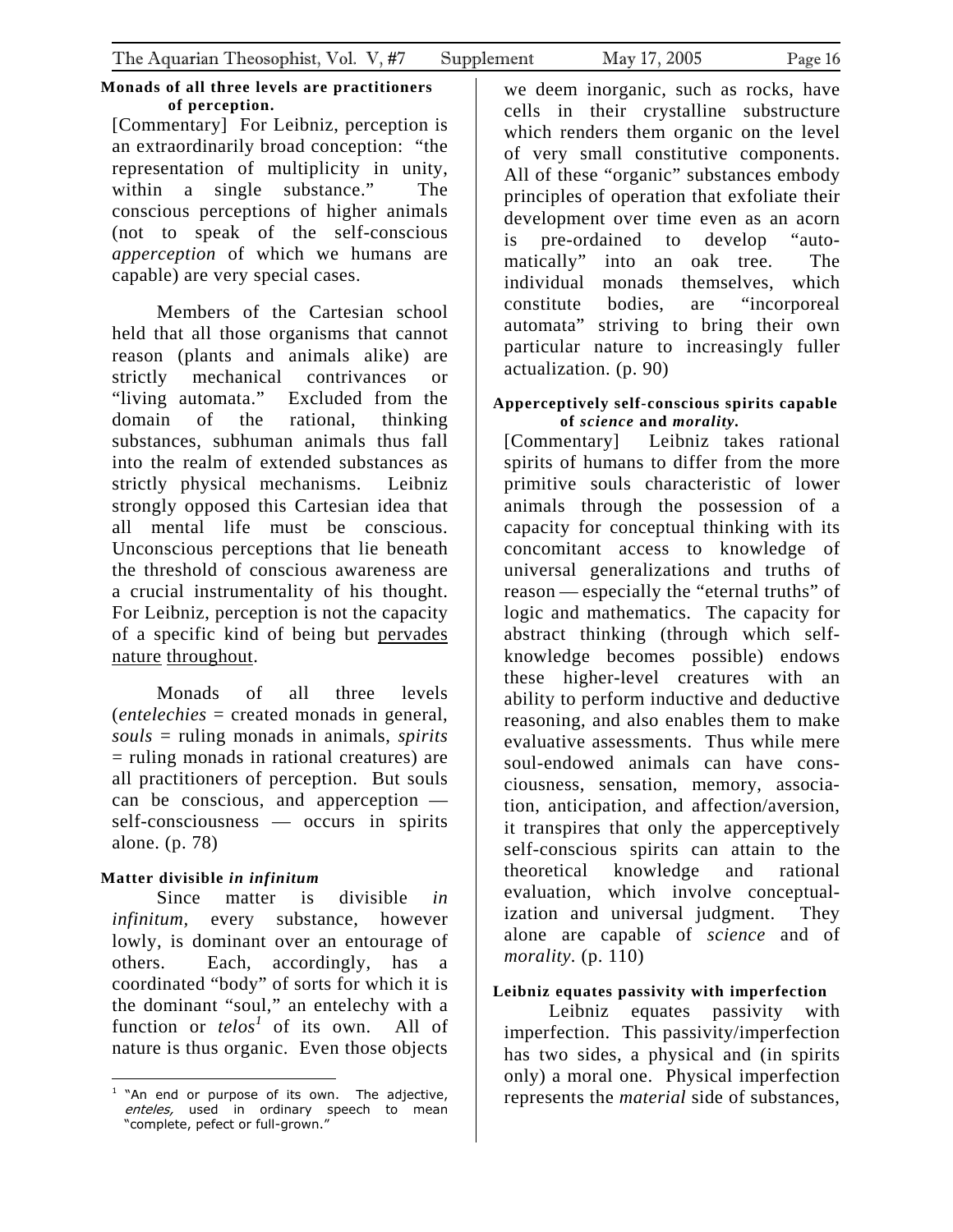#### **Monads of all three levels are practitioners of perception.**

[Commentary] For Leibniz, perception is an extraordinarily broad conception: "the representation of multiplicity in unity, within a single substance." The conscious perceptions of higher animals (not to speak of the self-conscious *apperception* of which we humans are capable) are very special cases.

Members of the Cartesian school held that all those organisms that cannot reason (plants and animals alike) are strictly mechanical contrivances or "living automata." Excluded from the domain of the rational, thinking substances, subhuman animals thus fall into the realm of extended substances as strictly physical mechanisms. Leibniz strongly opposed this Cartesian idea that all mental life must be conscious. Unconscious perceptions that lie beneath the threshold of conscious awareness are a crucial instrumentality of his thought. For Leibniz, perception is not the capacity of a specific kind of being but pervades nature throughout.

Monads of all three levels (*entelechies* = created monads in general, *souls* = ruling monads in animals, *spirits* = ruling monads in rational creatures) are all practitioners of perception. But souls can be conscious, and apperception self-consciousness — occurs in spirits alone. (p. 78)

#### **Matter divisible** *in infinitum*

Since matter is divisible *in infinitum,* every substance, however lowly, is dominant over an entourage of others. Each, accordingly, has a coordinated "body" of sorts for which it is the dominant "soul," an entelechy with a function or  $telos<sup>1</sup>$  $telos<sup>1</sup>$  $telos<sup>1</sup>$  of its own. All of nature is thus organic. Even those objects we deem inorganic, such as rocks, have cells in their crystalline substructure which renders them organic on the level of very small constitutive components. All of these "organic" substances embody principles of operation that exfoliate their development over time even as an acorn is pre-ordained to develop "automatically" into an oak tree. The individual monads themselves, which constitute bodies, are "incorporeal automata" striving to bring their own particular nature to increasingly fuller actualization. (p. 90)

#### **Apperceptively self-conscious spirits capable of** *science* **and** *morality.*

[Commentary] Leibniz takes rational spirits of humans to differ from the more primitive souls characteristic of lower animals through the possession of a capacity for conceptual thinking with its concomitant access to knowledge of universal generalizations and truths of reason — especially the "eternal truths" of logic and mathematics. The capacity for abstract thinking (through which selfknowledge becomes possible) endows these higher-level creatures with an ability to perform inductive and deductive reasoning, and also enables them to make evaluative assessments. Thus while mere soul-endowed animals can have consciousness, sensation, memory, association, anticipation, and affection/aversion, it transpires that only the apperceptively self-conscious spirits can attain to the theoretical knowledge and rational evaluation, which involve conceptualization and universal judgment. They alone are capable of *science* and of *morality.* (p. 110)

#### **Leibniz equates passivity with imperfection**

Leibniz equates passivity with imperfection. This passivity/imperfection has two sides, a physical and (in spirits only) a moral one. Physical imperfection represents the *material* side of substances,

<span id="page-15-0"></span> 1 "An end or purpose of its own. The adjective, enteles, used in ordinary speech to mean "complete, pefect or full-grown."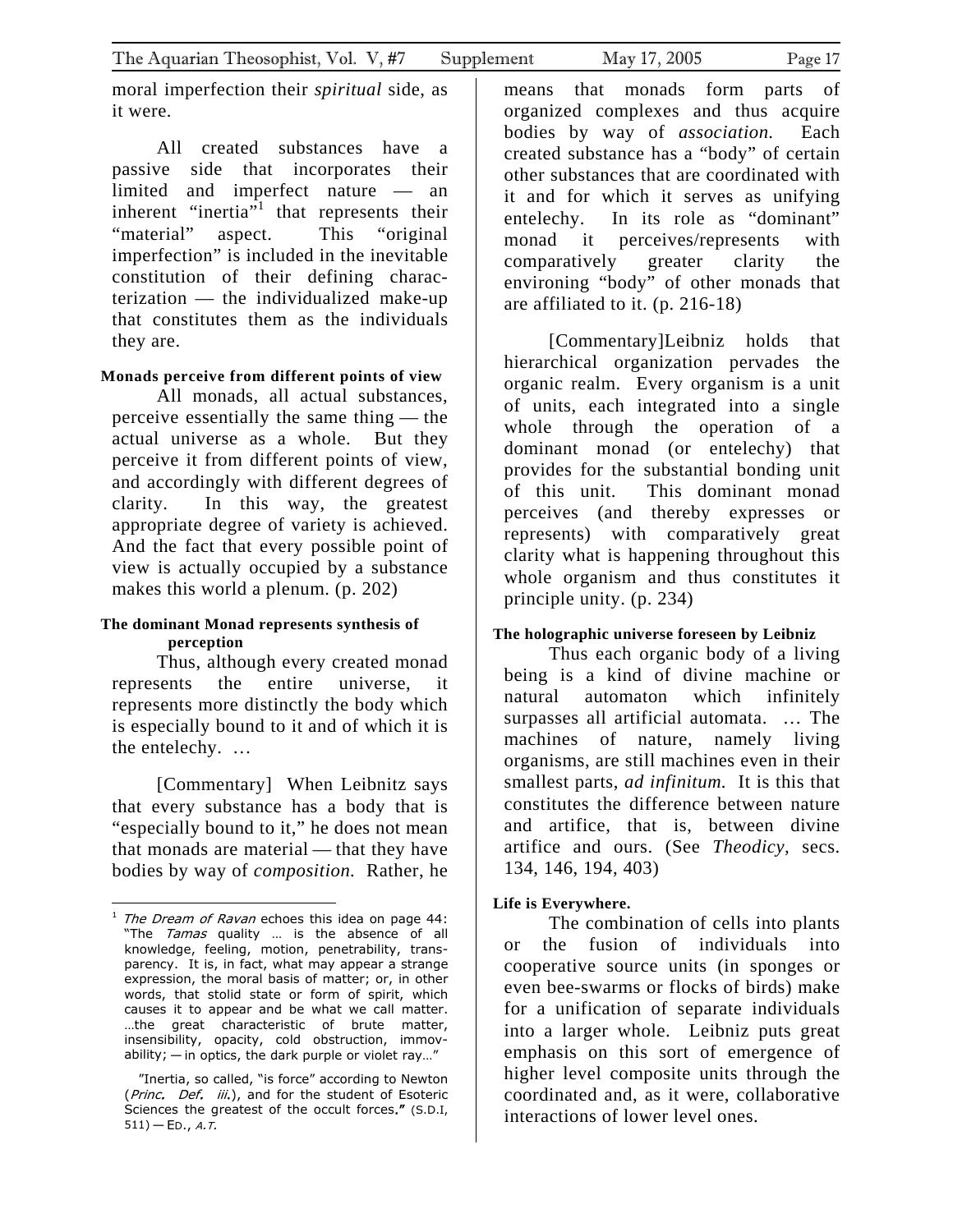moral imperfection their *spiritual* side, as it were.

All created substances have a passive side that incorporates their limited and imperfect nature — an inherent "inertia"<sup>[1](#page-16-0)</sup> that represents their "material" aspect. This "original imperfection" is included in the inevitable constitution of their defining characterization — the individualized make-up that constitutes them as the individuals they are.

#### **Monads perceive from different points of view**

All monads, all actual substances, perceive essentially the same thing — the actual universe as a whole. But they perceive it from different points of view, and accordingly with different degrees of clarity. In this way, the greatest appropriate degree of variety is achieved. And the fact that every possible point of view is actually occupied by a substance makes this world a plenum. (p. 202)

#### **The dominant Monad represents synthesis of perception**

Thus, although every created monad represents the entire universe, it represents more distinctly the body which is especially bound to it and of which it is the entelechy. …

[Commentary] When Leibnitz says that every substance has a body that is "especially bound to it," he does not mean that monads are material — that they have bodies by way of *composition.* Rather, he

<u>.</u>

 "Inertia, so called, "is force" according to Newton (Princ. Def. iii.), and for the student of Esoteric Sciences the greatest of the occult forces." (S.D.I,  $511$ ) — ED., A.T.

means that monads form parts of organized complexes and thus acquire bodies by way of *association.* Each created substance has a "body" of certain other substances that are coordinated with it and for which it serves as unifying entelechy. In its role as "dominant" monad it perceives/represents with comparatively greater clarity the environing "body" of other monads that are affiliated to it. (p. 216-18)

[Commentary]Leibniz holds that hierarchical organization pervades the organic realm. Every organism is a unit of units, each integrated into a single whole through the operation of a dominant monad (or entelechy) that provides for the substantial bonding unit of this unit. This dominant monad perceives (and thereby expresses or represents) with comparatively great clarity what is happening throughout this whole organism and thus constitutes it principle unity. (p. 234)

#### **The holographic universe foreseen by Leibniz**

Thus each organic body of a living being is a kind of divine machine or natural automaton which infinitely surpasses all artificial automata. … The machines of nature, namely living organisms, are still machines even in their smallest parts, *ad infinitum.* It is this that constitutes the difference between nature and artifice, that is, between divine artifice and ours. (See *Theodicy,* secs. 134, 146, 194, 403)

#### **Life is Everywhere.**

The combination of cells into plants or the fusion of individuals into cooperative source units (in sponges or even bee-swarms or flocks of birds) make for a unification of separate individuals into a larger whole. Leibniz puts great emphasis on this sort of emergence of higher level composite units through the coordinated and, as it were, collaborative interactions of lower level ones.

<span id="page-16-0"></span> $1$  The Dream of Ravan echoes this idea on page 44: "The Tamas quality ... is the absence of all knowledge, feeling, motion, penetrability, transparency. It is, in fact, what may appear a strange expression, the moral basis of matter; or, in other words, that stolid state or form of spirit, which causes it to appear and be what we call matter. …the great characteristic of brute matter, insensibility, opacity, cold obstruction, immovability;  $-$  in optics, the dark purple or violet ray..."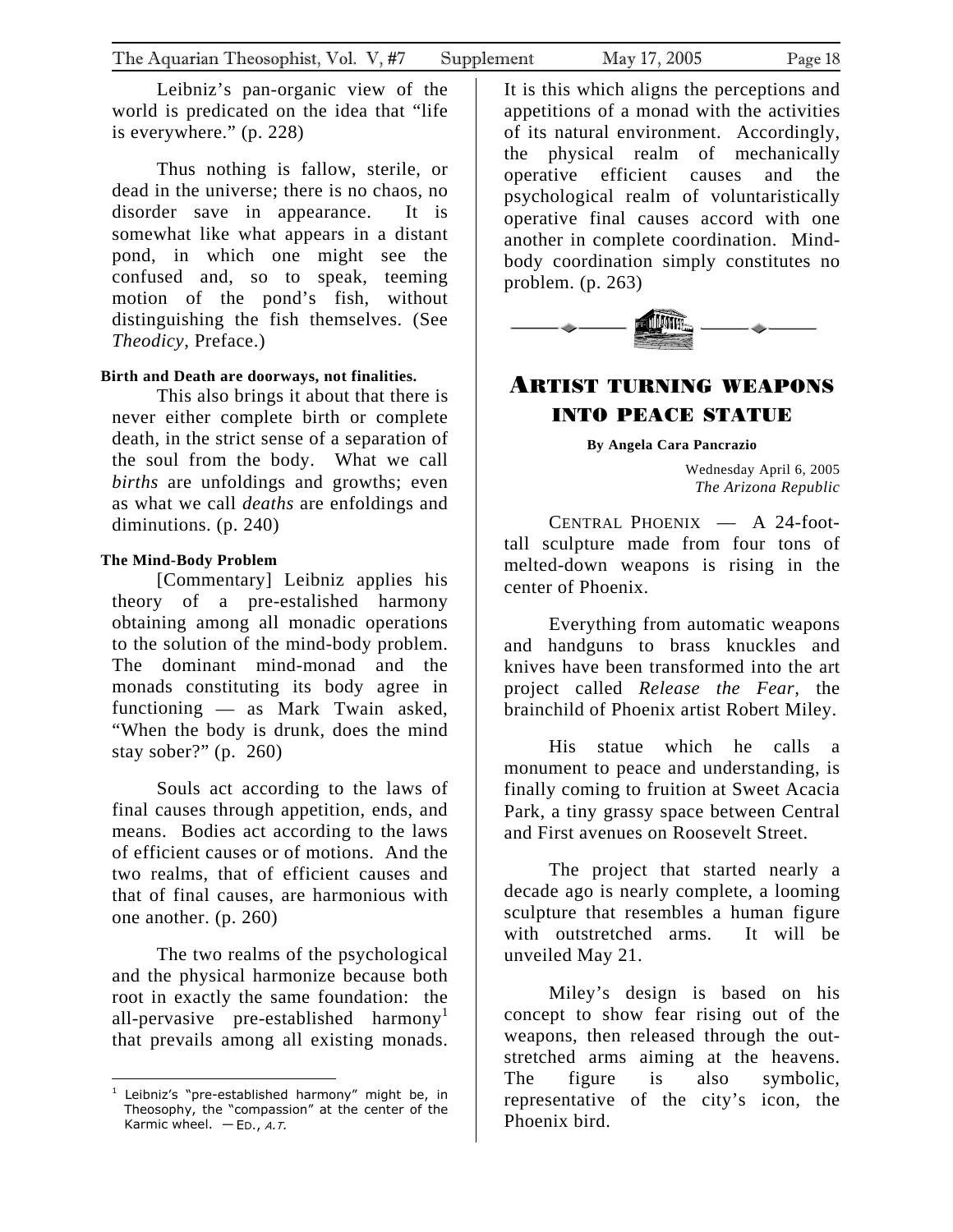<span id="page-17-0"></span>Leibniz's pan-organic view of the world is predicated on the idea that "life is everywhere." (p. 228)

Thus nothing is fallow, sterile, or dead in the universe; there is no chaos, no disorder save in appearance. It is somewhat like what appears in a distant pond, in which one might see the confused and, so to speak, teeming motion of the pond's fish, without distinguishing the fish themselves. (See *Theodicy,* Preface.)

#### **Birth and Death are doorways, not finalities.**

This also brings it about that there is never either complete birth or complete death, in the strict sense of a separation of the soul from the body. What we call *births* are unfoldings and growths; even as what we call *deaths* are enfoldings and diminutions. (p. 240)

#### **The Mind-Body Problem**

[Commentary] Leibniz applies his theory of a pre-estalished harmony obtaining among all monadic operations to the solution of the mind-body problem. The dominant mind-monad and the monads constituting its body agree in functioning — as Mark Twain asked, "When the body is drunk, does the mind stay sober?" (p. 260)

Souls act according to the laws of final causes through appetition, ends, and means. Bodies act according to the laws of efficient causes or of motions. And the two realms, that of efficient causes and that of final causes, are harmonious with one another. (p. 260)

The two realms of the psychological and the physical harmonize because both root in exactly the same foundation: the all-pervasive pre-established harmony<sup>[1](#page-17-1)</sup> that prevails among all existing monads.

It is this which aligns the perceptions and appetitions of a monad with the activities of its natural environment. Accordingly, the physical realm of mechanically operative efficient causes and the psychological realm of voluntaristically operative final causes accord with one another in complete coordination. Mindbody coordination simply constitutes no problem. (p. 263)



## ARTIST TURNING WEAPONS INTO PEACE STATUE

**By Angela Cara Pancrazio** 

Wednesday April 6, 2005 *The Arizona Republic* 

CENTRAL PHOENIX — A 24-foottall sculpture made from four tons of melted-down weapons is rising in the center of Phoenix.

Everything from automatic weapons and handguns to brass knuckles and knives have been transformed into the art project called *Release the Fear,* the brainchild of Phoenix artist Robert Miley.

His statue which he calls a monument to peace and understanding, is finally coming to fruition at Sweet Acacia Park, a tiny grassy space between Central and First avenues on Roosevelt Street.

The project that started nearly a decade ago is nearly complete, a looming sculpture that resembles a human figure with outstretched arms. It will be unveiled May 21.

Miley's design is based on his concept to show fear rising out of the weapons, then released through the outstretched arms aiming at the heavens. The figure is also symbolic, representative of the city's icon, the Phoenix bird.

<span id="page-17-1"></span> 1 Leibniz's "pre-established harmony" might be, in Theosophy, the "compassion" at the center of the Karmic wheel.  $-ED.$ , A.T.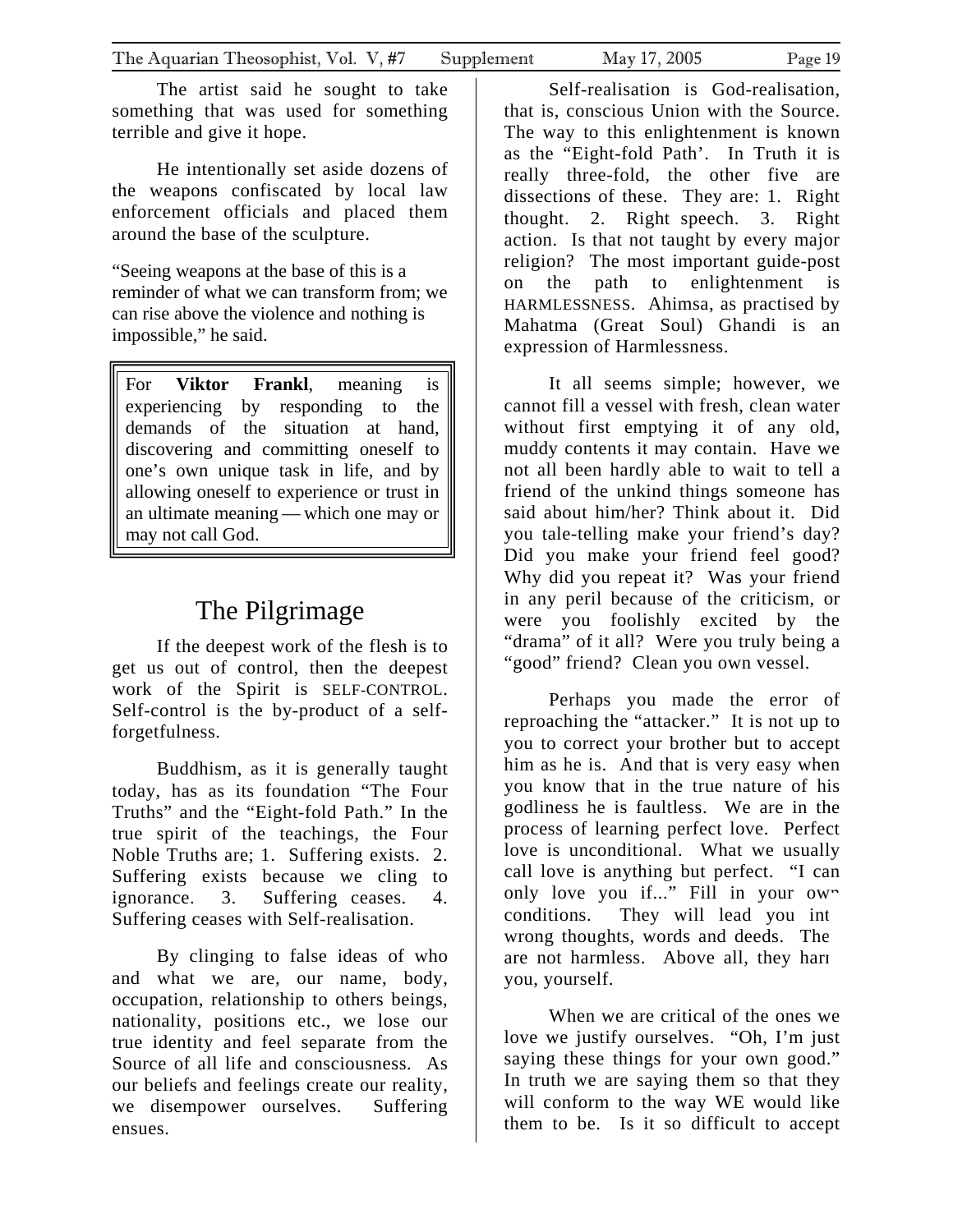<span id="page-18-0"></span>The artist said he sought to take something that was used for something terrible and give it hope.

He intentionally set aside dozens of the weapons confiscated by local law enforcement officials and placed them around the base of the sculpture.

"Seeing weapons at the base of this is a reminder of what we can transform from; we can rise above the violence and nothing is impossible," he said.

For **Viktor Frankl**, meaning is experiencing by responding to the demands of the situation at hand, discovering and committing oneself to one's own unique task in life, and by allowing oneself to experience or trust in an ultimate meaning — which one may or may not call God.

## The Pilgrimage

If the deepest work of the flesh is to get us out of control, then the deepest work of the Spirit is SELF-CONTROL. Self-control is the by-product of a selfforgetfulness.

Buddhism, as it is generally taught today, has as its foundation "The Four Truths" and the "Eight-fold Path." In the true spirit of the teachings, the Four Noble Truths are; 1. Suffering exists. 2. Suffering exists because we cling to ignorance. 3. Suffering ceases. 4. Suffering ceases with Self-realisation.

By clinging to false ideas of who and what we are, our name, body, occupation, relationship to others beings, nationality, positions etc., we lose our true identity and feel separate from the Source of all life and consciousness. As our beliefs and feelings create our reality, we disempower ourselves. Suffering ensues.

Self-realisation is God-realisation, that is, conscious Union with the Source. The way to this enlightenment is known as the "Eight-fold Path'. In Truth it is really three-fold, the other five are dissections of these. They are: 1. Right thought. 2. Right speech. 3. Right action. Is that not taught by every major religion? The most important guide-post on the path to enlightenment is HARMLESSNESS. Ahimsa, as practised by Mahatma (Great Soul) Ghandi is an expression of Harmlessness.

It all seems simple; however, we cannot fill a vessel with fresh, clean water without first emptying it of any old, muddy contents it may contain. Have we not all been hardly able to wait to tell a friend of the unkind things someone has said about him/her? Think about it. Did you tale-telling make your friend's day? Did you make your friend feel good? Why did you repeat it? Was your friend in any peril because of the criticism, or were you foolishly excited by the "drama" of it all? Were you truly being a "good" friend? Clean you own vessel.

Perhaps you made the error of reproaching the "attacker." It is not up to you to correct your brother but to accept him as he is. And that is very easy when you know that in the true nature of his godliness he is faultless. We are in the process of learning perfect love. Perfect love is unconditional. What we usually call love is anything but perfect. "I can only love you if..." Fill in your owconditions. They will lead you int wrong thoughts, words and deeds. The are not harmless. Above all, they harm you, yourself.

When we are critical of the ones we love we justify ourselves. "Oh, I'm just saying these things for your own good." In truth we are saying them so that they will conform to the way WE would like them to be. Is it so difficult to accept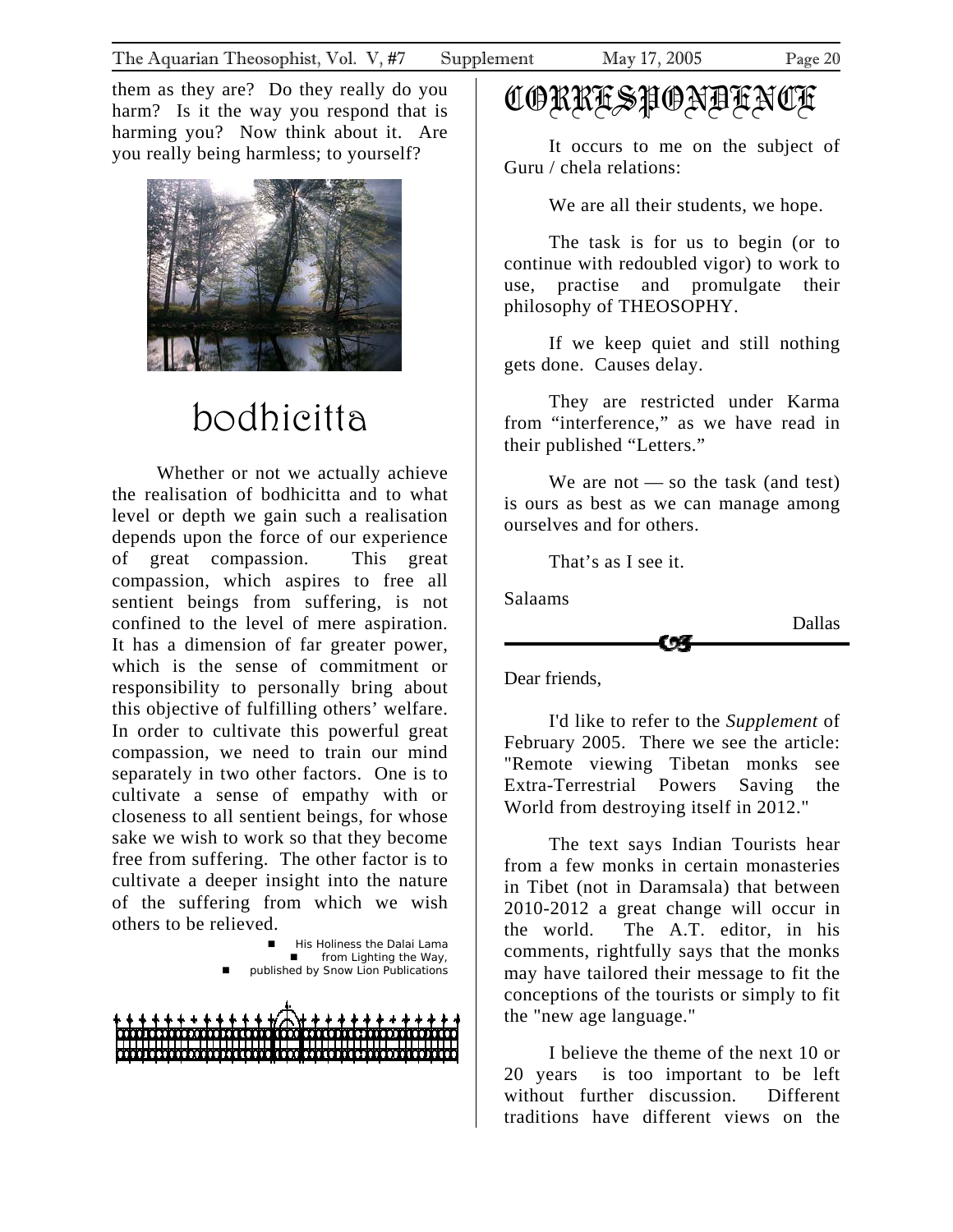<span id="page-19-0"></span>them as they are? Do they really do you harm? Is it the way you respond that is harming you? Now think about it. Are you really being harmless; to yourself?



## bodhicitta

Whether or not we actually achieve the realisation of bodhicitta and to what level or depth we gain such a realisation depends upon the force of our experience of great compassion. This great compassion, which aspires to free all sentient beings from suffering, is not confined to the level of mere aspiration. It has a dimension of far greater power, which is the sense of commitment or responsibility to personally bring about this objective of fulfilling others' welfare. In order to cultivate this powerful great compassion, we need to train our mind separately in two other factors. One is to cultivate a sense of empathy with or closeness to all sentient beings, for whose sake we wish to work so that they become free from suffering. The other factor is to cultivate a deeper insight into the nature of the suffering from which we wish others to be relieved.

> His Holiness the Dalai Lama from *Lighting the Way*, published by Snow Lion Publications

## CORRESPONDENCE

It occurs to me on the subject of Guru / chela relations:

We are all their students, we hope.

The task is for us to begin (or to continue with redoubled vigor) to work to use, practise and promulgate their philosophy of THEOSOPHY.

If we keep quiet and still nothing gets done. Causes delay.

They are restricted under Karma from "interference," as we have read in their published "Letters."

We are not  $\sim$  so the task (and test) is ours as best as we can manage among ourselves and for others.

That's as I see it.

Salaams



Dear friends,

I'd like to refer to the *Supplement* of February 2005. There we see the article: "Remote viewing Tibetan monks see Extra-Terrestrial Powers Saving the World from destroying itself in 2012."

The text says Indian Tourists hear from a few monks in certain monasteries in Tibet (not in Daramsala) that between 2010-2012 a great change will occur in the world. The A.T. editor, in his comments, rightfully says that the monks may have tailored their message to fit the conceptions of the tourists or simply to fit the "new age language."

I believe the theme of the next 10 or 20 years is too important to be left without further discussion. Different traditions have different views on the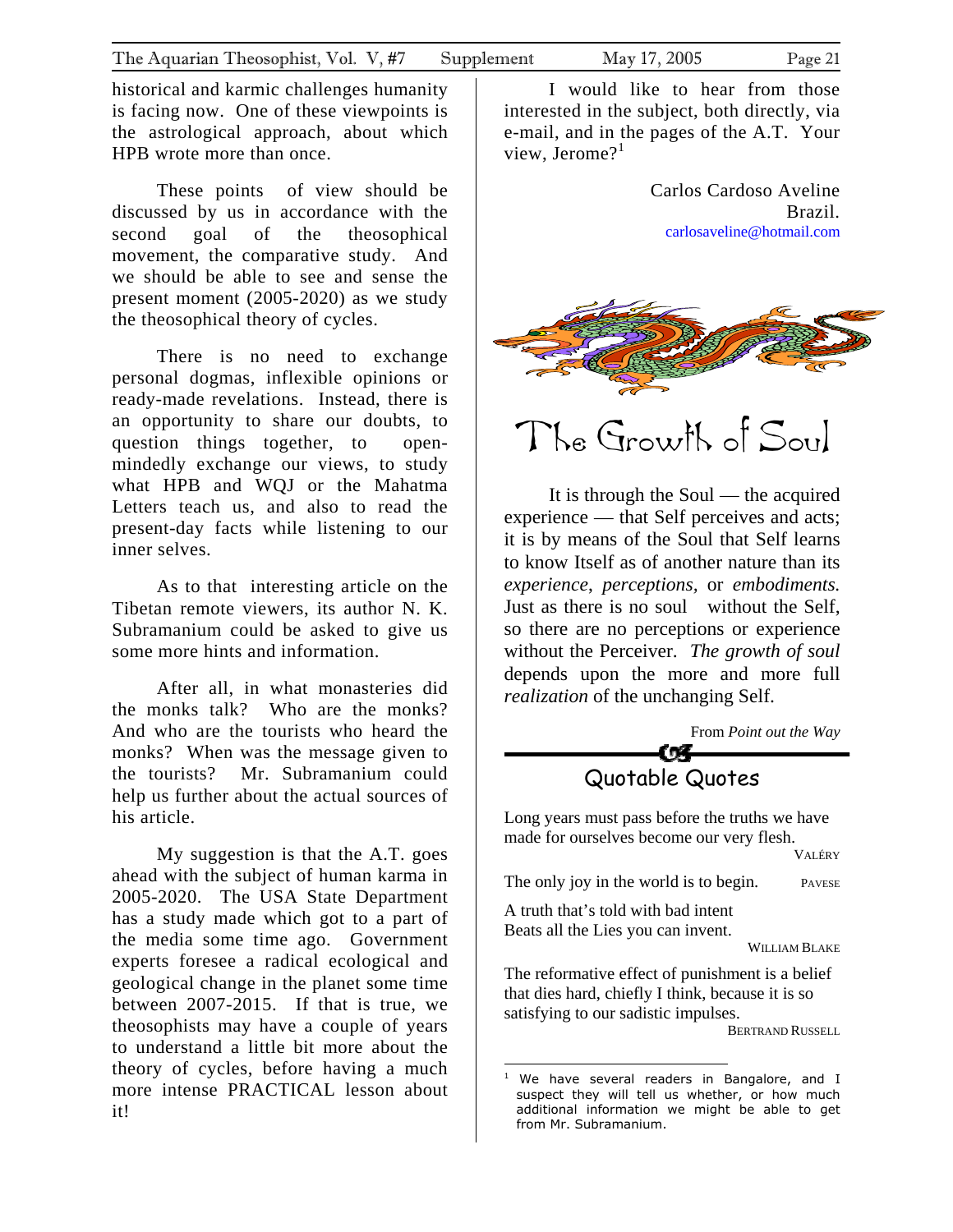<span id="page-20-0"></span>historical and karmic challenges humanity is facing now. One of these viewpoints is

the astrological approach, about which HPB wrote more than once.

These points of view should be discussed by us in accordance with the second goal of the theosophical movement, the comparative study. And we should be able to see and sense the present moment (2005-2020) as we study the theosophical theory of cycles.

There is no need to exchange personal dogmas, inflexible opinions or ready-made revelations. Instead, there is an opportunity to share our doubts, to question things together, to openmindedly exchange our views, to study what HPB and WQJ or the Mahatma Letters teach us, and also to read the present-day facts while listening to our inner selves.

As to that interesting article on the Tibetan remote viewers, its author N. K. Subramanium could be asked to give us some more hints and information.

After all, in what monasteries did the monks talk? Who are the monks? And who are the tourists who heard the monks? When was the message given to the tourists? Mr. Subramanium could help us further about the actual sources of his article.

My suggestion is that the A.T. goes ahead with the subject of human karma in 2005-2020. The USA State Department has a study made which got to a part of the media some time ago. Government experts foresee a radical ecological and geological change in the planet some time between 2007-2015. If that is true, we theosophists may have a couple of years to understand a little bit more about the theory of cycles, before having a much more intense PRACTICAL lesson about it!

I would like to hear from those interested in the subject, both directly, via e-mail, and in the pages of the A.T. Your view, Jerome? $1$ 

> Carlos Cardoso Aveline Brazil. [carlosaveline@hotmail.com](mailto:carlosaveline@hotmail.com)



It is through the Soul — the acquired experience — that Self perceives and acts; it is by means of the Soul that Self learns to know Itself as of another nature than its *experience*, *perceptions,* or *embodiments.*  Just as there is no soul without the Self, so there are no perceptions or experience without the Perceiver. *The growth of soul* depends upon the more and more full *realization* of the unchanging Self.



Long years must pass before the truths we have made for ourselves become our very flesh. VALÉRY

The only joy in the world is to begin. PAVESE

A truth that's told with bad intent Beats all the Lies you can invent.

WILLIAM BLAKE

The reformative effect of punishment is a belief that dies hard, chiefly I think, because it is so satisfying to our sadistic impulses.

BERTRAND RUSSELL

<span id="page-20-1"></span> $\overline{a}$ 1 We have several readers in Bangalore, and I suspect they will tell us whether, or how much additional information we might be able to get from Mr. Subramanium.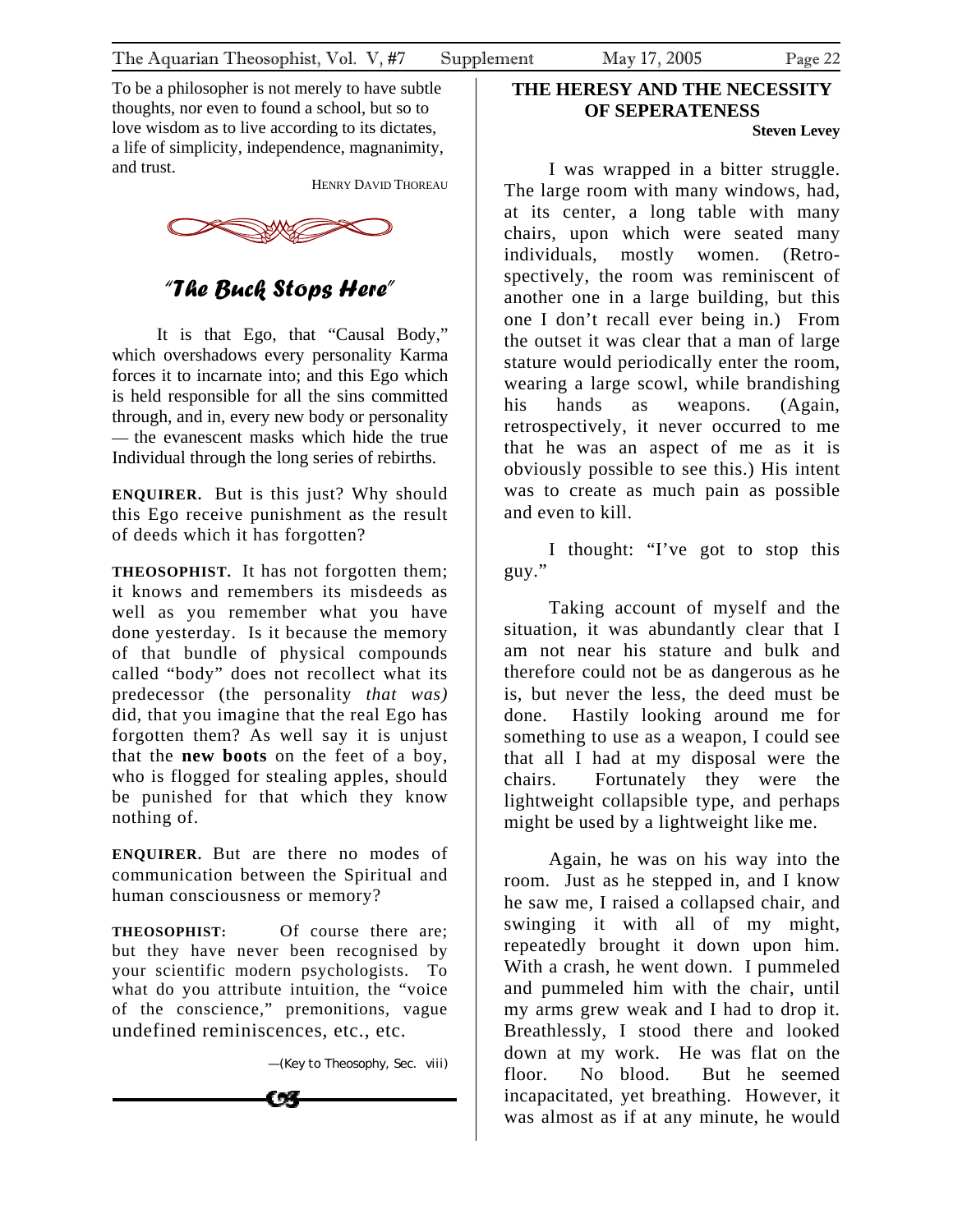<span id="page-21-0"></span>To be a philosopher is not merely to have subtle thoughts, nor even to found a school, but so to love wisdom as to live according to its dictates, a life of simplicity, independence, magnanimity, and trust.

HENRY DAVID THOREAU



## *"The Buck Stops Here"*

It is that Ego, that "Causal Body," which overshadows every personality Karma forces it to incarnate into; and this Ego which is held responsible for all the sins committed through, and in, every new body or personality — the evanescent masks which hide the true Individual through the long series of rebirths.

**ENQUIRER.** But is this just? Why should this Ego receive punishment as the result of deeds which it has forgotten?

**THEOSOPHIST.** It has not forgotten them; it knows and remembers its misdeeds as well as you remember what you have done yesterday. Is it because the memory of that bundle of physical compounds called "body" does not recollect what its predecessor (the personality *that was)* did, that you imagine that the real Ego has forgotten them? As well say it is unjust that the **new boots** on the feet of a boy, who is flogged for stealing apples, should be punished for that which they know nothing of.

**ENQUIRER.** But are there no modes of communication between the Spiritual and human consciousness or memory?

**THEOSOPHIST:** Of course there are; but they have never been recognised by your scientific modern psychologists. To what do you attribute intuition, the "voice of the conscience," premonitions, vague undefined reminiscences, etc., etc.

— (*Key to Theosophy, Sec. viii*)



#### **Steven Levey**

I was wrapped in a bitter struggle. The large room with many windows, had, at its center, a long table with many chairs, upon which were seated many individuals, mostly women. (Retrospectively, the room was reminiscent of another one in a large building, but this one I don't recall ever being in.) From the outset it was clear that a man of large stature would periodically enter the room, wearing a large scowl, while brandishing his hands as weapons. (Again, retrospectively, it never occurred to me that he was an aspect of me as it is obviously possible to see this.) His intent was to create as much pain as possible and even to kill.

I thought: "I've got to stop this guy."

Taking account of myself and the situation, it was abundantly clear that I am not near his stature and bulk and therefore could not be as dangerous as he is, but never the less, the deed must be done. Hastily looking around me for something to use as a weapon, I could see that all I had at my disposal were the chairs. Fortunately they were the lightweight collapsible type, and perhaps might be used by a lightweight like me.

Again, he was on his way into the room. Just as he stepped in, and I know he saw me, I raised a collapsed chair, and swinging it with all of my might, repeatedly brought it down upon him. With a crash, he went down. I pummeled and pummeled him with the chair, until my arms grew weak and I had to drop it. Breathlessly, I stood there and looked down at my work. He was flat on the floor. No blood. But he seemed incapacitated, yet breathing. However, it was almost as if at any minute, he would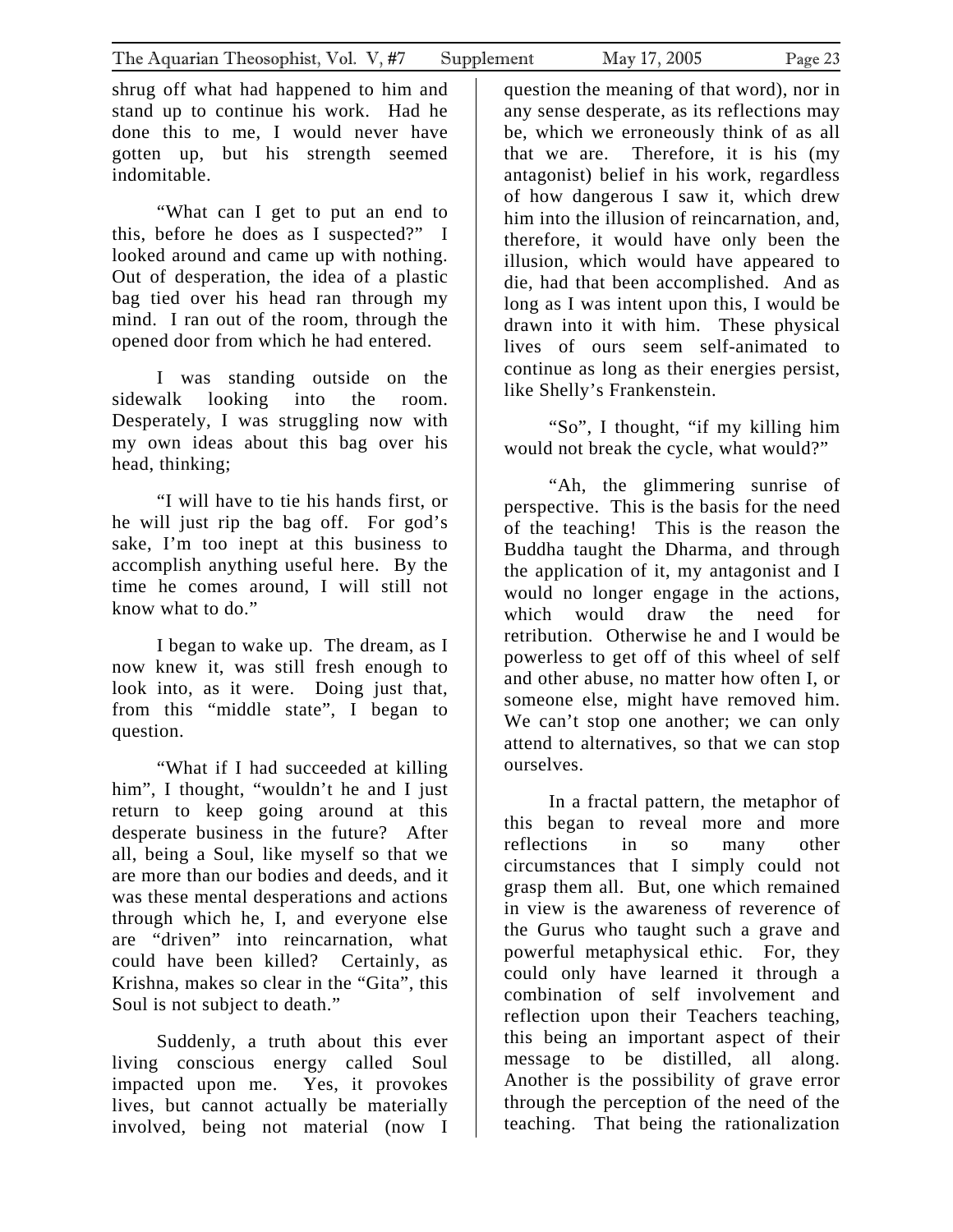shrug off what had happened to him and stand up to continue his work. Had he done this to me, I would never have gotten up, but his strength seemed indomitable.

"What can I get to put an end to this, before he does as I suspected?" I looked around and came up with nothing. Out of desperation, the idea of a plastic bag tied over his head ran through my mind. I ran out of the room, through the opened door from which he had entered.

I was standing outside on the sidewalk looking into the room. Desperately, I was struggling now with my own ideas about this bag over his head, thinking;

"I will have to tie his hands first, or he will just rip the bag off. For god's sake, I'm too inept at this business to accomplish anything useful here. By the time he comes around, I will still not know what to do."

I began to wake up. The dream, as I now knew it, was still fresh enough to look into, as it were. Doing just that, from this "middle state", I began to question.

"What if I had succeeded at killing him", I thought, "wouldn't he and I just return to keep going around at this desperate business in the future? After all, being a Soul, like myself so that we are more than our bodies and deeds, and it was these mental desperations and actions through which he, I, and everyone else are "driven" into reincarnation, what could have been killed? Certainly, as Krishna, makes so clear in the "Gita", this Soul is not subject to death."

Suddenly, a truth about this ever living conscious energy called Soul impacted upon me. Yes, it provokes lives, but cannot actually be materially involved, being not material (now I

question the meaning of that word), nor in any sense desperate, as its reflections may be, which we erroneously think of as all that we are. Therefore, it is his (my antagonist) belief in his work, regardless of how dangerous I saw it, which drew him into the illusion of reincarnation, and, therefore, it would have only been the illusion, which would have appeared to die, had that been accomplished. And as long as I was intent upon this, I would be drawn into it with him. These physical lives of ours seem self-animated to continue as long as their energies persist, like Shelly's Frankenstein.

"So", I thought, "if my killing him would not break the cycle, what would?"

"Ah, the glimmering sunrise of perspective. This is the basis for the need of the teaching! This is the reason the Buddha taught the Dharma, and through the application of it, my antagonist and I would no longer engage in the actions, which would draw the need for retribution. Otherwise he and I would be powerless to get off of this wheel of self and other abuse, no matter how often I, or someone else, might have removed him. We can't stop one another; we can only attend to alternatives, so that we can stop ourselves.

In a fractal pattern, the metaphor of this began to reveal more and more reflections in so many other circumstances that I simply could not grasp them all. But, one which remained in view is the awareness of reverence of the Gurus who taught such a grave and powerful metaphysical ethic. For, they could only have learned it through a combination of self involvement and reflection upon their Teachers teaching, this being an important aspect of their message to be distilled, all along. Another is the possibility of grave error through the perception of the need of the teaching. That being the rationalization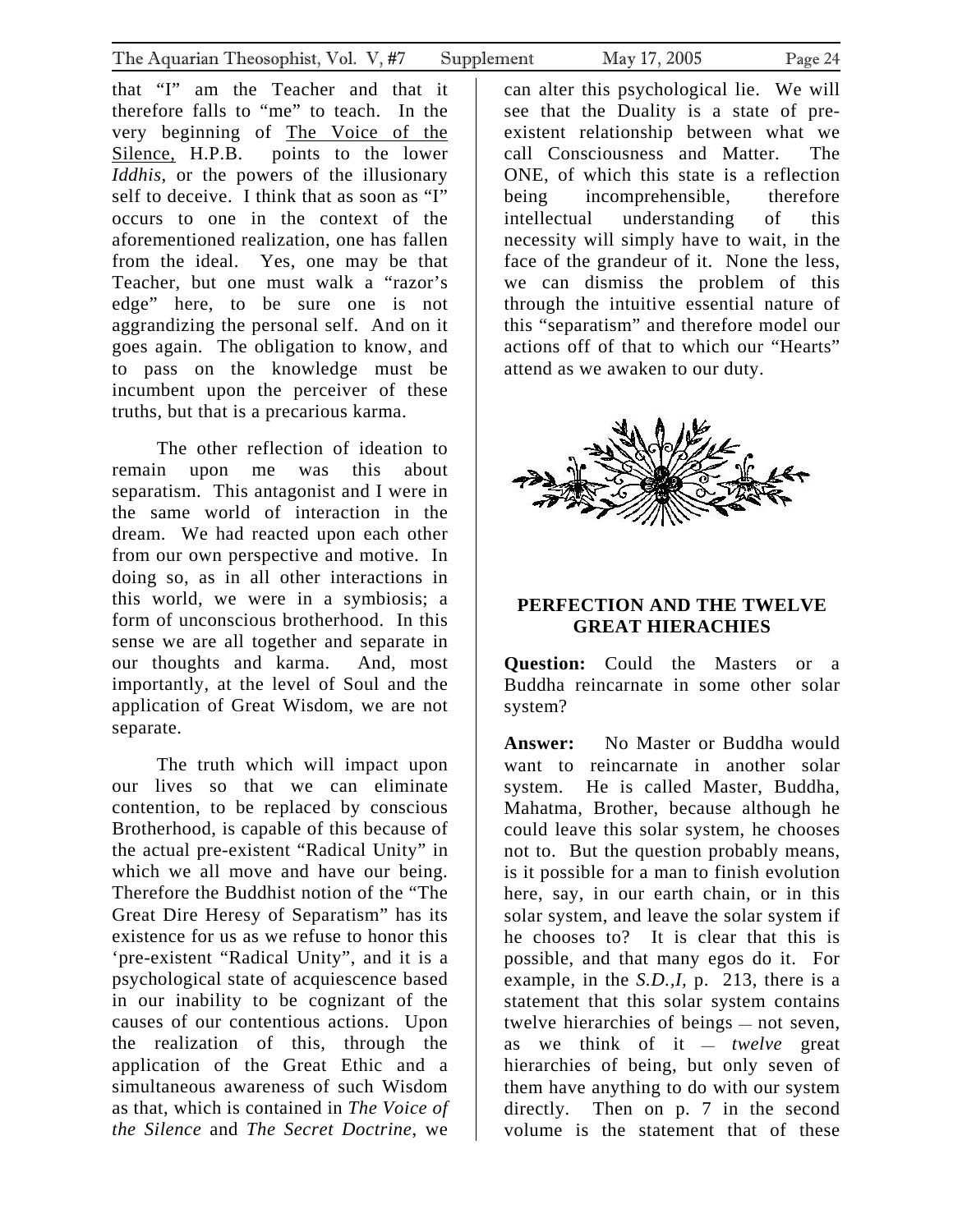<span id="page-23-0"></span>that "I" am the Teacher and that it therefore falls to "me" to teach. In the very beginning of The Voice of the Silence, H.P.B. points to the lower *Iddhis*, or the powers of the illusionary self to deceive. I think that as soon as "I" occurs to one in the context of the aforementioned realization, one has fallen from the ideal. Yes, one may be that Teacher, but one must walk a "razor's edge" here, to be sure one is not aggrandizing the personal self. And on it goes again. The obligation to know, and to pass on the knowledge must be incumbent upon the perceiver of these truths, but that is a precarious karma.

The other reflection of ideation to remain upon me was this about separatism. This antagonist and I were in the same world of interaction in the dream. We had reacted upon each other from our own perspective and motive. In doing so, as in all other interactions in this world, we were in a symbiosis; a form of unconscious brotherhood. In this sense we are all together and separate in our thoughts and karma. And, most importantly, at the level of Soul and the application of Great Wisdom, we are not separate.

The truth which will impact upon our lives so that we can eliminate contention, to be replaced by conscious Brotherhood, is capable of this because of the actual pre-existent "Radical Unity" in which we all move and have our being. Therefore the Buddhist notion of the "The Great Dire Heresy of Separatism" has its existence for us as we refuse to honor this 'pre-existent "Radical Unity", and it is a psychological state of acquiescence based in our inability to be cognizant of the causes of our contentious actions. Upon the realization of this, through the application of the Great Ethic and a simultaneous awareness of such Wisdom as that, which is contained in *The Voice of the Silence* and *The Secret Doctrine*, we

can alter this psychological lie. We will see that the Duality is a state of preexistent relationship between what we call Consciousness and Matter. The ONE, of which this state is a reflection being incomprehensible, therefore intellectual understanding of this necessity will simply have to wait, in the face of the grandeur of it. None the less, we can dismiss the problem of this through the intuitive essential nature of this "separatism" and therefore model our actions off of that to which our "Hearts" attend as we awaken to our duty.



#### **PERFECTION AND THE TWELVE GREAT HIERACHIES**

**Question:** Could the Masters or a Buddha reincarnate in some other solar system?

**Answer:** No Master or Buddha would want to reincarnate in another solar system. He is called Master, Buddha, Mahatma, Brother, because although he could leave this solar system, he chooses not to. But the question probably means, is it possible for a man to finish evolution here, say, in our earth chain, or in this solar system, and leave the solar system if he chooses to? It is clear that this is possible, and that many egos do it. For example, in the *S.D.,I,* p. 213, there is a statement that this solar system contains twelve hierarchies of beings — not seven, as we think of it — *twelve* great hierarchies of being, but only seven of them have anything to do with our system directly. Then on p. 7 in the second volume is the statement that of these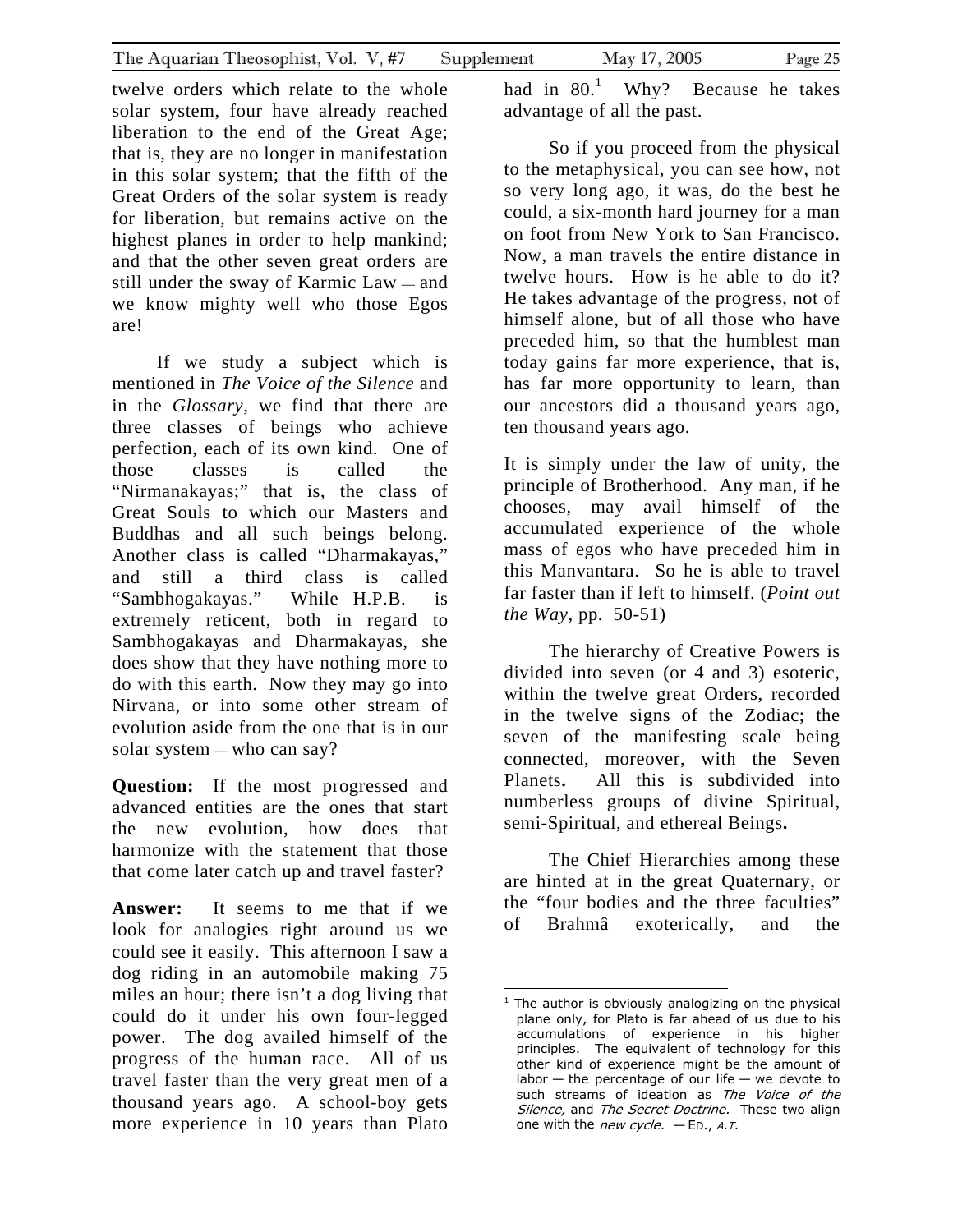twelve orders which relate to the whole solar system, four have already reached liberation to the end of the Great Age; that is, they are no longer in manifestation in this solar system; that the fifth of the Great Orders of the solar system is ready for liberation, but remains active on the highest planes in order to help mankind; and that the other seven great orders are still under the sway of Karmic Law — and we know mighty well who those Egos are!

If we study a subject which is mentioned in *The Voice of the Silence* and in the *Glossary,* we find that there are three classes of beings who achieve perfection, each of its own kind. One of those classes is called the "Nirmanakayas;" that is, the class of Great Souls to which our Masters and Buddhas and all such beings belong. Another class is called "Dharmakayas," and still a third class is called "Sambhogakayas." While H.P.B. is extremely reticent, both in regard to Sambhogakayas and Dharmakayas, she does show that they have nothing more to do with this earth. Now they may go into Nirvana, or into some other stream of evolution aside from the one that is in our solar system — who can say?

**Question:** If the most progressed and advanced entities are the ones that start the new evolution, how does that harmonize with the statement that those that come later catch up and travel faster?

**Answer:** It seems to me that if we look for analogies right around us we could see it easily. This afternoon I saw a dog riding in an automobile making 75 miles an hour; there isn't a dog living that could do it under his own four-legged power. The dog availed himself of the progress of the human race. All of us travel faster than the very great men of a thousand years ago. A school-boy gets more experience in 10 years than Plato

had in  $80<sup>1</sup>$  $80<sup>1</sup>$  $80<sup>1</sup>$  Why? Because he takes advantage of all the past.

So if you proceed from the physical to the metaphysical, you can see how, not so very long ago, it was, do the best he could, a six-month hard journey for a man on foot from New York to San Francisco. Now, a man travels the entire distance in twelve hours. How is he able to do it? He takes advantage of the progress, not of himself alone, but of all those who have preceded him, so that the humblest man today gains far more experience, that is, has far more opportunity to learn, than our ancestors did a thousand years ago, ten thousand years ago.

It is simply under the law of unity, the principle of Brotherhood. Any man, if he chooses, may avail himself of the accumulated experience of the whole mass of egos who have preceded him in this Manvantara. So he is able to travel far faster than if left to himself. (*Point out the Way,* pp. 50-51)

The hierarchy of Creative Powers is divided into seven (or 4 and 3) esoteric, within the twelve great Orders, recorded in the twelve signs of the Zodiac; the seven of the manifesting scale being connected, moreover, with the Seven Planets**.** All this is subdivided into numberless groups of divine Spiritual, semi-Spiritual, and ethereal Beings**.**

The Chief Hierarchies among these are hinted at in the great Quaternary, or the "four bodies and the three faculties" of Brahmâ exoterically, and the

<span id="page-24-0"></span> $\overline{a}$ Silence, and The Secret Doctrine. These two align  $1$  The author is obviously analogizing on the physical plane only, for Plato is far ahead of us due to his accumulations of experience in his higher principles. The equivalent of technology for this other kind of experience might be the amount of labor  $-$  the percentage of our life  $-$  we devote to such streams of ideation as The Voice of the one with the *new cycle*.  $-$  ED., A.T.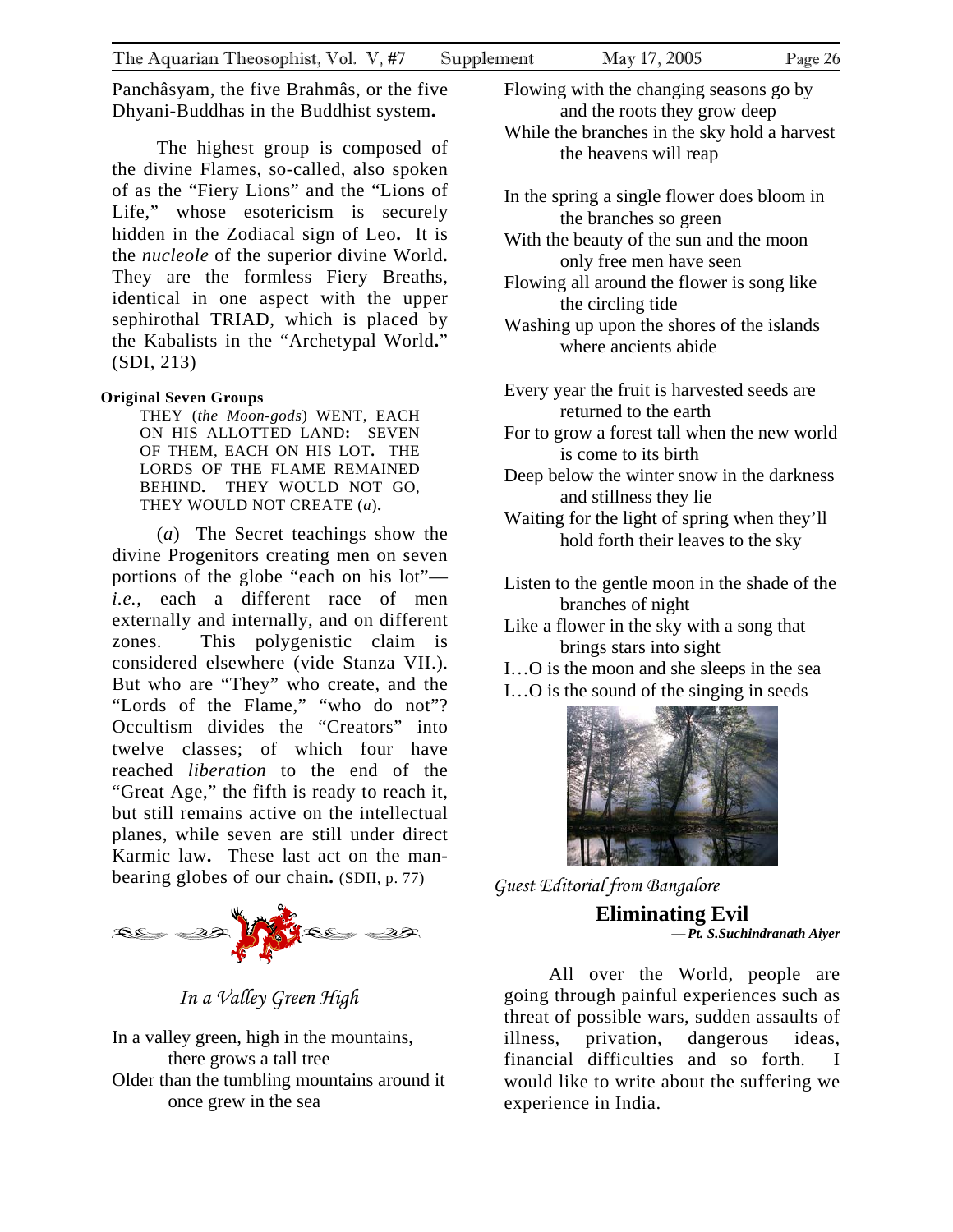<span id="page-25-0"></span>

| The Aquarian Theosophist, Vol. V, #7                                                                                                                                                                                                                                     | May 17, 2005<br>Supplement<br>Page 26                                                                                                      |  |
|--------------------------------------------------------------------------------------------------------------------------------------------------------------------------------------------------------------------------------------------------------------------------|--------------------------------------------------------------------------------------------------------------------------------------------|--|
| Panchâsyam, the five Brahmâs, or the five                                                                                                                                                                                                                                | Flowing with the changing seasons go by                                                                                                    |  |
| Dhyani-Buddhas in the Buddhist system.                                                                                                                                                                                                                                   | and the roots they grow deep                                                                                                               |  |
|                                                                                                                                                                                                                                                                          | While the branches in the sky hold a harvest                                                                                               |  |
| The highest group is composed of                                                                                                                                                                                                                                         | the heavens will reap                                                                                                                      |  |
| the divine Flames, so-called, also spoken<br>of as the "Fiery Lions" and the "Lions of<br>Life," whose esotericism is securely<br>hidden in the Zodiacal sign of Leo. It is<br>the <i>nucleole</i> of the superior divine World.<br>They are the formless Fiery Breaths, | In the spring a single flower does bloom in<br>the branches so green<br>With the beauty of the sun and the moon<br>only free men have seen |  |
| identical in one aspect with the upper                                                                                                                                                                                                                                   | Flowing all around the flower is song like                                                                                                 |  |
| sephirothal TRIAD, which is placed by                                                                                                                                                                                                                                    | the circling tide                                                                                                                          |  |
| the Kabalists in the "Archetypal World."                                                                                                                                                                                                                                 | Washing up upon the shores of the islands<br>where ancients abide                                                                          |  |
| (SDI, 213)                                                                                                                                                                                                                                                               |                                                                                                                                            |  |
| <b>Original Seven Groups</b>                                                                                                                                                                                                                                             | Every year the fruit is harvested seeds are.<br>returned to the earth                                                                      |  |
| THEY (the Moon-gods) WENT, EACH<br>ON HIS ALLOTTED LAND:<br><b>SEVEN</b><br>OF THEM, EACH ON HIS LOT. THE                                                                                                                                                                | For to grow a forest tall when the new world<br>is come to its birth                                                                       |  |
| LORDS OF THE FLAME REMAINED<br>BEHIND. THEY WOULD NOT GO,                                                                                                                                                                                                                | Deep below the winter snow in the darkness<br>and stillness they lie                                                                       |  |
| THEY WOULD NOT CREATE (a).<br>(a) The Secret teachings show the                                                                                                                                                                                                          | Waiting for the light of spring when they'll<br>hold forth their leaves to the sky                                                         |  |
| divine Progenitors creating men on seven                                                                                                                                                                                                                                 |                                                                                                                                            |  |
| portions of the globe "each on his lot"—<br><i>i.e.</i> , each a different race of men                                                                                                                                                                                   | Listen to the gentle moon in the shade of the<br>branches of night                                                                         |  |
| externally and internally, and on different                                                                                                                                                                                                                              | Like a flower in the sky with a song that                                                                                                  |  |
| This polygenistic claim is<br>zones.                                                                                                                                                                                                                                     | brings stars into sight                                                                                                                    |  |
| considered elsewhere (vide Stanza VII.).                                                                                                                                                                                                                                 | IO is the moon and she sleeps in the sea                                                                                                   |  |
| But who are "They" who create, and the<br>"Lords of the Flame," "who do not"?                                                                                                                                                                                            | IO is the sound of the singing in seeds                                                                                                    |  |
| Occultism divides the "Creators" into<br>twelve classes; of which four have<br>reached <i>liberation</i> to the end of the<br>"Great Age," the fifth is ready to reach it,<br>but still remains active on the intellectual<br>planes, while seven are still under direct |                                                                                                                                            |  |
| Karmic law. These last act on the man-                                                                                                                                                                                                                                   |                                                                                                                                            |  |
| bearing globes of our chain. (SDII, p. 77)                                                                                                                                                                                                                               | Guest Editorial from Bangalore                                                                                                             |  |
|                                                                                                                                                                                                                                                                          |                                                                                                                                            |  |
| $\infty$                                                                                                                                                                                                                                                                 | <b>Eliminating Evil</b><br>-Pt. S. Suchindranath Aiyer                                                                                     |  |
|                                                                                                                                                                                                                                                                          | All over the World, people are                                                                                                             |  |
| In a Valley Green High                                                                                                                                                                                                                                                   | going through painful experiences such as                                                                                                  |  |

In a valley green, high in the mountains, there grows a tall tree Older than the tumbling mountains around it once grew in the sea

threat of possible wars, sudden assaults of<br>illness, privation, dangerous ideas, illness,  $\frac{1}{2}$  privation, dangerous financial difficulties and so forth. I would like to write about the suffering we experience in India.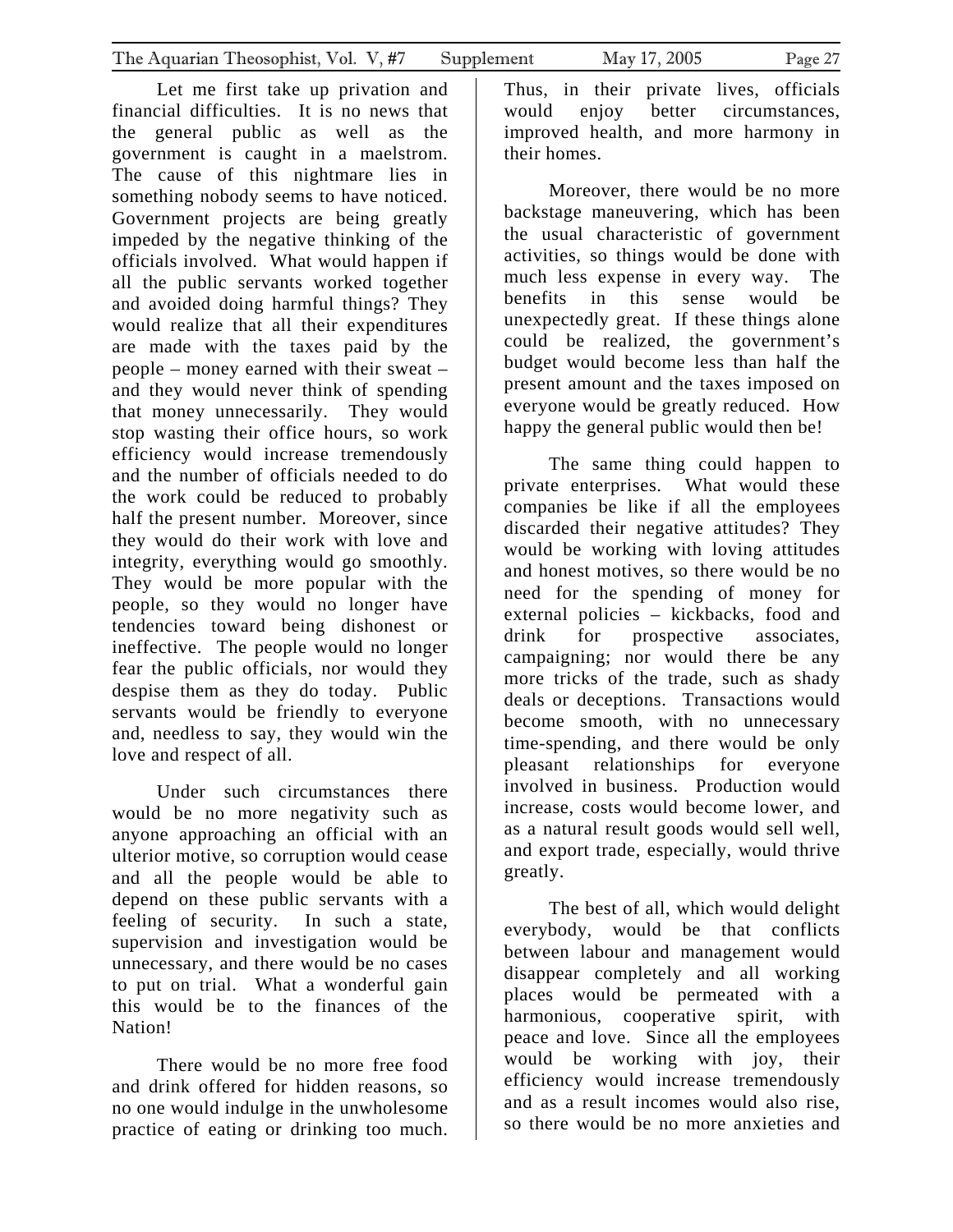Let me first take up privation and financial difficulties. It is no news that the general public as well as the government is caught in a maelstrom. The cause of this nightmare lies in something nobody seems to have noticed. Government projects are being greatly impeded by the negative thinking of the officials involved. What would happen if all the public servants worked together and avoided doing harmful things? They would realize that all their expenditures are made with the taxes paid by the people – money earned with their sweat – and they would never think of spending that money unnecessarily. They would stop wasting their office hours, so work efficiency would increase tremendously and the number of officials needed to do the work could be reduced to probably half the present number. Moreover, since they would do their work with love and integrity, everything would go smoothly. They would be more popular with the people, so they would no longer have tendencies toward being dishonest or ineffective. The people would no longer fear the public officials, nor would they despise them as they do today. Public servants would be friendly to everyone and, needless to say, they would win the love and respect of all.

Under such circumstances there would be no more negativity such as anyone approaching an official with an ulterior motive, so corruption would cease and all the people would be able to depend on these public servants with a feeling of security. In such a state, supervision and investigation would be unnecessary, and there would be no cases to put on trial. What a wonderful gain this would be to the finances of the Nation!

There would be no more free food and drink offered for hidden reasons, so no one would indulge in the unwholesome practice of eating or drinking too much. Thus, in their private lives, officials would enjoy better circumstances, improved health, and more harmony in their homes.

Moreover, there would be no more backstage maneuvering, which has been the usual characteristic of government activities, so things would be done with much less expense in every way. The benefits in this sense would be unexpectedly great. If these things alone could be realized, the government's budget would become less than half the present amount and the taxes imposed on everyone would be greatly reduced. How happy the general public would then be!

The same thing could happen to private enterprises. What would these companies be like if all the employees discarded their negative attitudes? They would be working with loving attitudes and honest motives, so there would be no need for the spending of money for external policies – kickbacks, food and drink for prospective associates. campaigning; nor would there be any more tricks of the trade, such as shady deals or deceptions. Transactions would become smooth, with no unnecessary time-spending, and there would be only pleasant relationships for everyone involved in business. Production would increase, costs would become lower, and as a natural result goods would sell well, and export trade, especially, would thrive greatly.

The best of all, which would delight everybody, would be that conflicts between labour and management would disappear completely and all working places would be permeated with a harmonious, cooperative spirit, with peace and love. Since all the employees would be working with joy, their efficiency would increase tremendously and as a result incomes would also rise, so there would be no more anxieties and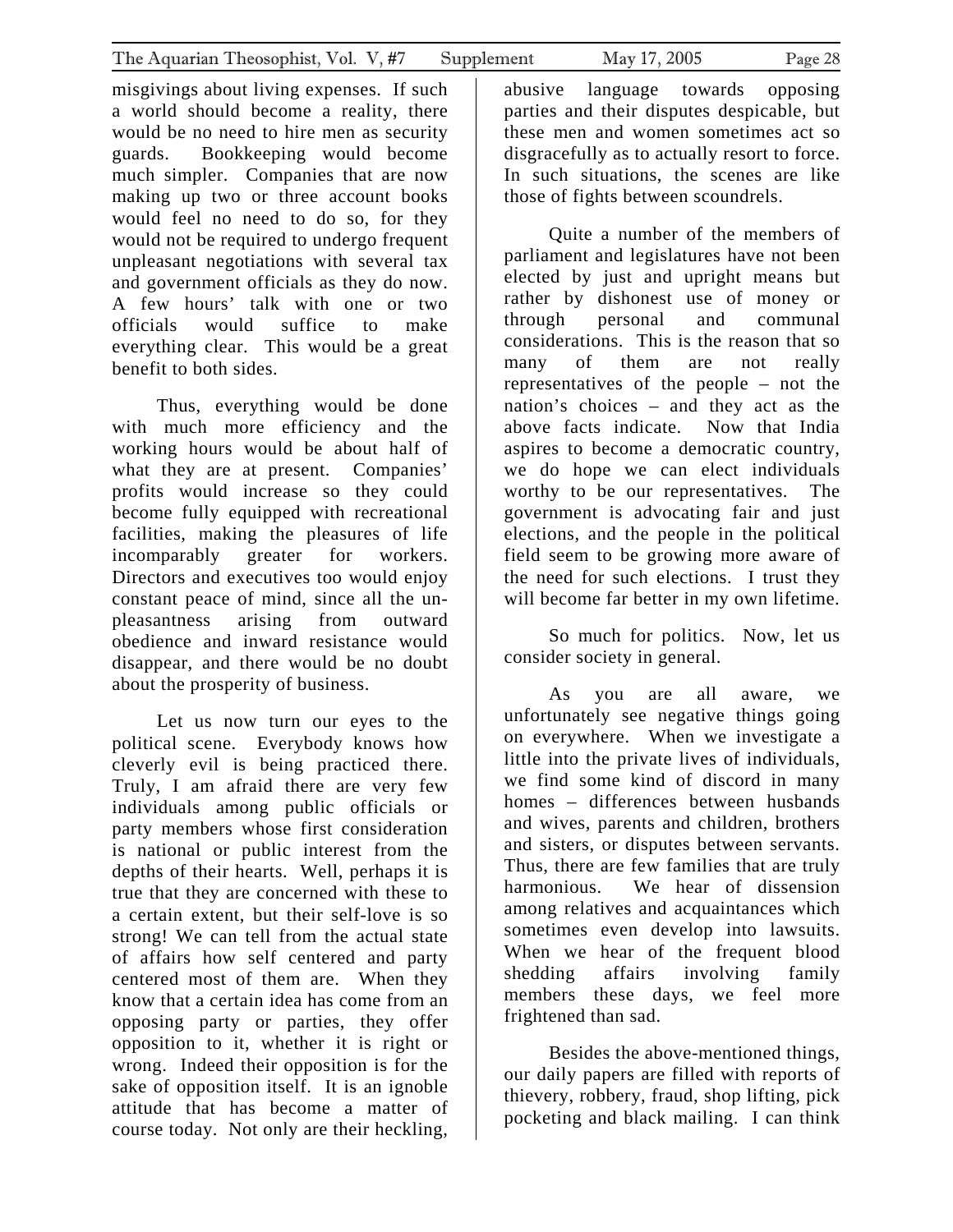misgivings about living expenses. If such a world should become a reality, there would be no need to hire men as security guards. Bookkeeping would become much simpler. Companies that are now making up two or three account books would feel no need to do so, for they would not be required to undergo frequent unpleasant negotiations with several tax and government officials as they do now. A few hours' talk with one or two officials would suffice to make everything clear. This would be a great benefit to both sides.

Thus, everything would be done with much more efficiency and the working hours would be about half of what they are at present. Companies' profits would increase so they could become fully equipped with recreational facilities, making the pleasures of life incomparably greater for workers. Directors and executives too would enjoy constant peace of mind, since all the unpleasantness arising from outward obedience and inward resistance would disappear, and there would be no doubt about the prosperity of business.

Let us now turn our eyes to the political scene. Everybody knows how cleverly evil is being practiced there. Truly, I am afraid there are very few individuals among public officials or party members whose first consideration is national or public interest from the depths of their hearts. Well, perhaps it is true that they are concerned with these to a certain extent, but their self-love is so strong! We can tell from the actual state of affairs how self centered and party centered most of them are. When they know that a certain idea has come from an opposing party or parties, they offer opposition to it, whether it is right or wrong. Indeed their opposition is for the sake of opposition itself. It is an ignoble attitude that has become a matter of course today. Not only are their heckling,

abusive language towards opposing parties and their disputes despicable, but these men and women sometimes act so disgracefully as to actually resort to force. In such situations, the scenes are like those of fights between scoundrels.

Quite a number of the members of parliament and legislatures have not been elected by just and upright means but rather by dishonest use of money or through personal and communal considerations. This is the reason that so many of them are not really representatives of the people – not the nation's choices – and they act as the above facts indicate. Now that India aspires to become a democratic country, we do hope we can elect individuals worthy to be our representatives. The government is advocating fair and just elections, and the people in the political field seem to be growing more aware of the need for such elections. I trust they will become far better in my own lifetime.

So much for politics. Now, let us consider society in general.

As you are all aware, we unfortunately see negative things going on everywhere. When we investigate a little into the private lives of individuals, we find some kind of discord in many homes – differences between husbands and wives, parents and children, brothers and sisters, or disputes between servants. Thus, there are few families that are truly harmonious. We hear of dissension among relatives and acquaintances which sometimes even develop into lawsuits. When we hear of the frequent blood shedding affairs involving family members these days, we feel more frightened than sad.

Besides the above-mentioned things, our daily papers are filled with reports of thievery, robbery, fraud, shop lifting, pick pocketing and black mailing. I can think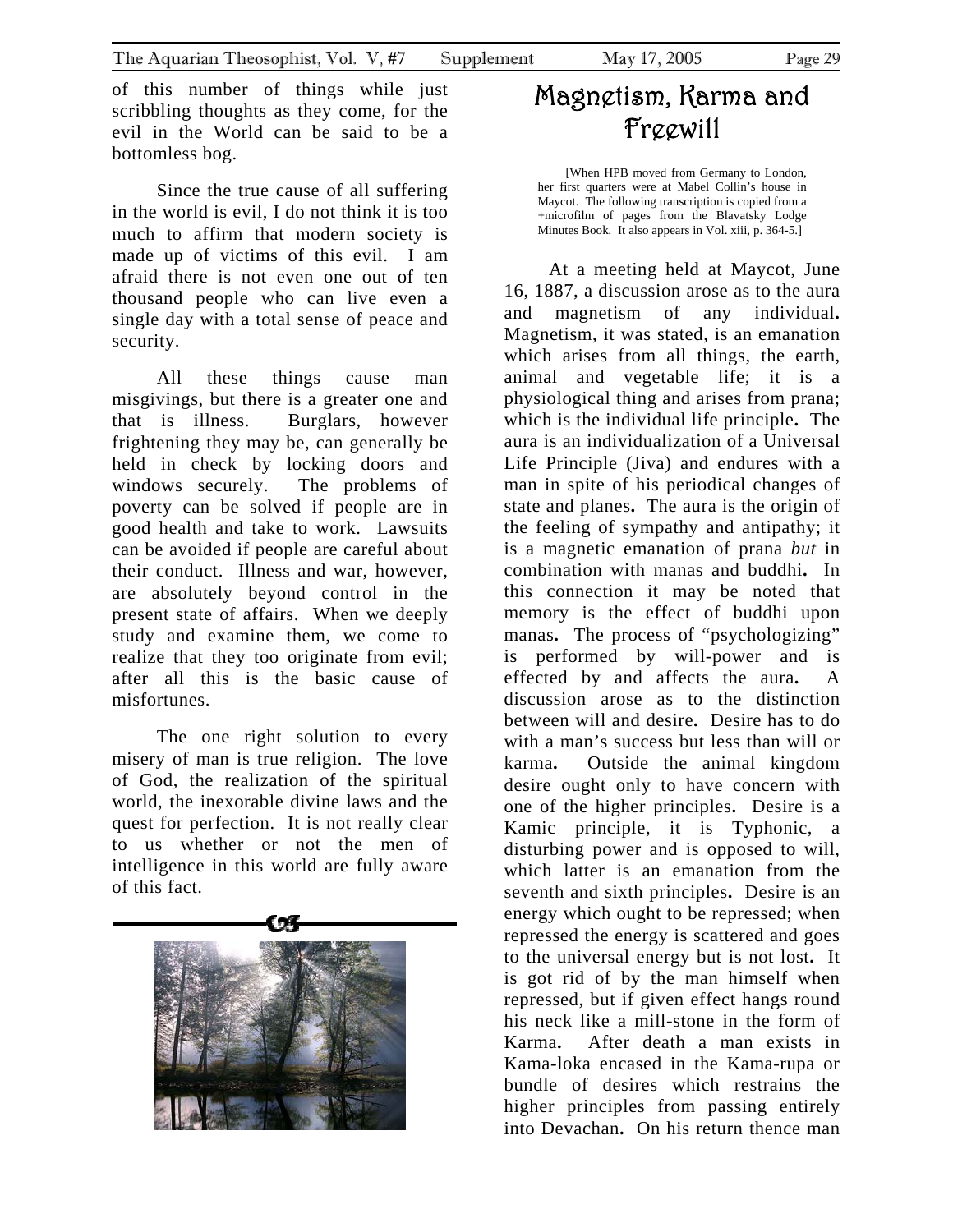<span id="page-28-0"></span>of this number of things while just scribbling thoughts as they come, for the evil in the World can be said to be a bottomless bog.

Since the true cause of all suffering in the world is evil, I do not think it is too much to affirm that modern society is made up of victims of this evil. I am afraid there is not even one out of ten thousand people who can live even a single day with a total sense of peace and security.

All these things cause man misgivings, but there is a greater one and that is illness. Burglars, however frightening they may be, can generally be held in check by locking doors and windows securely. The problems of poverty can be solved if people are in good health and take to work. Lawsuits can be avoided if people are careful about their conduct. Illness and war, however, are absolutely beyond control in the present state of affairs. When we deeply study and examine them, we come to realize that they too originate from evil; after all this is the basic cause of misfortunes.

The one right solution to every misery of man is true religion. The love of God, the realization of the spiritual world, the inexorable divine laws and the quest for perfection. It is not really clear to us whether or not the men of intelligence in this world are fully aware of this fact.



## Magnetism, Karma and Freewill

[When HPB moved from Germany to London, her first quarters were at Mabel Collin's house in Maycot. The following transcription is copied from a +microfilm of pages from the Blavatsky Lodge Minutes Book*.* It also appears in Vol. xiii, p. 364-5.]

At a meeting held at Maycot, June 16, 1887, a discussion arose as to the aura and magnetism of any individual**.**  Magnetism, it was stated, is an emanation which arises from all things, the earth, animal and vegetable life; it is a physiological thing and arises from prana; which is the individual life principle**.** The aura is an individualization of a Universal Life Principle (Jiva) and endures with a man in spite of his periodical changes of state and planes**.** The aura is the origin of the feeling of sympathy and antipathy; it is a magnetic emanation of prana *but* in combination with manas and buddhi**.** In this connection it may be noted that memory is the effect of buddhi upon manas**.** The process of "psychologizing" is performed by will-power and is effected by and affects the aura**.** A discussion arose as to the distinction between will and desire**.** Desire has to do with a man's success but less than will or karma**.** Outside the animal kingdom desire ought only to have concern with one of the higher principles**.** Desire is a Kamic principle, it is Typhonic, a disturbing power and is opposed to will, which latter is an emanation from the seventh and sixth principles**.** Desire is an energy which ought to be repressed; when repressed the energy is scattered and goes to the universal energy but is not lost**.** It is got rid of by the man himself when repressed, but if given effect hangs round his neck like a mill-stone in the form of Karma**.** After death a man exists in Kama-loka encased in the Kama-rupa or bundle of desires which restrains the higher principles from passing entirely into Devachan**.** On his return thence man